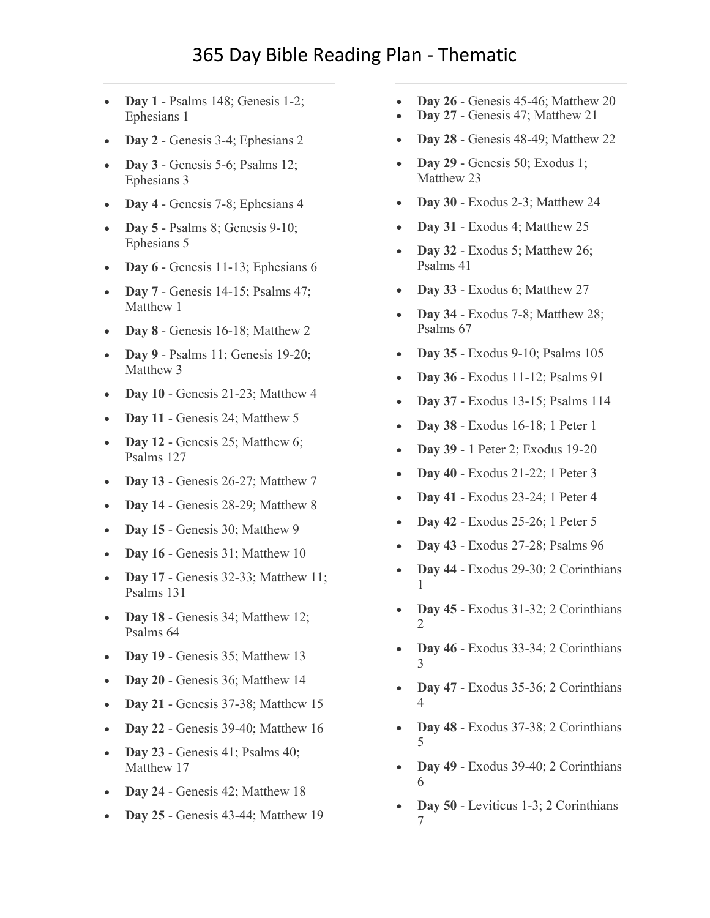- **Day 1** Psalms 148; Genesis 1-2; Ephesians 1
- **Day 2** [Genesis 3-4; Ephesians 2](https://www.biblestudytools.com/passage/?q=Genesis+3:1-24;+Genesis+4:1-26;+Ephesians+2:1-22)
- **Day 3** [Genesis 5-6; Psalms 12;](https://www.biblestudytools.com/passage/?q=Genesis+5:1-32;+Genesis+6:1-22;+Psalms+12:1-9;+Ephesians+3:1-21)  [Ephesians 3](https://www.biblestudytools.com/passage/?q=Genesis+5:1-32;+Genesis+6:1-22;+Psalms+12:1-9;+Ephesians+3:1-21)
- **Day 4** [Genesis 7-8; Ephesians 4](https://www.biblestudytools.com/passage/?q=Genesis+7:1-24;+Genesis+8:1-22;+Ephesians+4:1-32)
- **Day 5** [Psalms 8; Genesis 9-10;](https://www.biblestudytools.com/passage/?q=Psalms+8:1-10;+Genesis+9:1-29;+Genesis+10:1-32;+Ephesians+5:1-33)  [Ephesians 5](https://www.biblestudytools.com/passage/?q=Psalms+8:1-10;+Genesis+9:1-29;+Genesis+10:1-32;+Ephesians+5:1-33)
- **Day 6** [Genesis 11-13; Ephesians 6](https://www.biblestudytools.com/passage/?q=Genesis+11:1-32;+Genesis+12:1-20;+Genesis+13:1-18;+Ephesians+6:1-24)
- **Day 7** [Genesis 14-15; Psalms 47;](https://www.biblestudytools.com/passage/?q=Genesis+14:1-24;+Genesis+15:1-21;+Psalms+47:1-15;+Matthew+1:1-25)  [Matthew 1](https://www.biblestudytools.com/passage/?q=Genesis+14:1-24;+Genesis+15:1-21;+Psalms+47:1-15;+Matthew+1:1-25)
- **Day 8** [Genesis 16-18; Matthew 2](https://www.biblestudytools.com/passage/?q=Genesis+16:1-16;+Genesis+17:1-27;+Genesis+18:1-33;+Matthew+2:1-23)
- **Day 9** Psalms 11; Genesis 19-20; [Matthew 3](https://www.biblestudytools.com/passage/?q=Psalms+11:1-9;+Genesis+19:1-38;+Genesis+20:1-18;+Matthew+3:1-17)
- **Day 10** [Genesis 21-23; Matthew 4](https://www.biblestudytools.com/passage/?q=Genesis+21:1-34;+Genesis+22:1-24;+Genesis+23:1-20;+Matthew+4:1-25)
- **Day 11** [Genesis 24; Matthew 5](https://www.biblestudytools.com/passage/?q=Genesis+24:1-67;+Matthew+5:1-48)
- **Day 12** Genesis 25; Matthew 6; [Psalms 127](https://www.biblestudytools.com/passage/?q=Genesis+25:1-34;+Matthew+6:1-34;+Psalms+127:1-6)
- **Day 13** [Genesis 26-27; Matthew 7](https://www.biblestudytools.com/passage/?q=Genesis+26:1-35;+Genesis+27:1-46;+Matthew+7:1-29)
- **Day 14** [Genesis 28-29; Matthew 8](https://www.biblestudytools.com/passage/?q=Genesis+28:1-22;+Genesis+29:1-35;+Matthew+8:1-34)
- **Day 15** [Genesis 30; Matthew 9](https://www.biblestudytools.com/passage/?q=Genesis+30:1-43;+Matthew+9:1-38)
- **Day 16** [Genesis 31; Matthew 10](https://www.biblestudytools.com/passage/?q=Genesis+31:1-55;+Matthew+10:1-42)
- **Day 17** [Genesis 32-33; Matthew 11;](https://www.biblestudytools.com/passage/?q=Genesis+32:1-32;+Genesis+33:1-20;+Matthew+11:1-30;+Psalms+131:1-18)  [Psalms 131](https://www.biblestudytools.com/passage/?q=Genesis+32:1-32;+Genesis+33:1-20;+Matthew+11:1-30;+Psalms+131:1-18)
- **Day 18** [Genesis 34; Matthew 12;](https://www.biblestudytools.com/passage/?q=Genesis+34:1-31;+Matthew+12:1-50;+Psalms+64:1-14)  [Psalms 64](https://www.biblestudytools.com/passage/?q=Genesis+34:1-31;+Matthew+12:1-50;+Psalms+64:1-14)
- **Day 19** [Genesis 35; Matthew 13](https://www.biblestudytools.com/passage/?q=Genesis+35:1-29;+Matthew+13:1-58)
- **Day 20** [Genesis 36; Matthew 14](https://www.biblestudytools.com/passage/?q=Genesis+36:1-43;+Matthew+14:1-36)
- **Day 21** [Genesis 37-38; Matthew 15](https://www.biblestudytools.com/passage/?q=Genesis+37:1-36;+Genesis+38:1-30;+Matthew+15:1-39)
- **Day 22** [Genesis 39-40; Matthew 16](https://www.biblestudytools.com/passage/?q=Genesis+39:1-23;+Genesis+40:1-23;+Matthew+16:1-28)
- **Day 23** [Genesis 41; Psalms 40;](https://www.biblestudytools.com/passage/?q=Genesis+41:1-57;+Psalms+40:1-18;+Matthew+17:1-27)  [Matthew 17](https://www.biblestudytools.com/passage/?q=Genesis+41:1-57;+Psalms+40:1-18;+Matthew+17:1-27)
- **Day 24** [Genesis 42; Matthew 18](https://www.biblestudytools.com/passage/?q=Genesis+42:1-38;+Matthew+18:1-35)
- **Day 25** [Genesis 43-44; Matthew 19](https://www.biblestudytools.com/passage/?q=Genesis+43:1-34;+Genesis+44:1-34;+Matthew+19:1-30)
- **Day 26** [Genesis 45-46; Matthew 20](https://www.biblestudytools.com/passage/?q=Genesis+45:1-28;+Genesis+46:1-34;+Matthew+20:1-34)
- **Day 27** [Genesis 47; Matthew 21](https://www.biblestudytools.com/passage/?q=Genesis+47:1-31;+Matthew+21:1-46)
- **Day 28** [Genesis 48-49; Matthew 22](https://www.biblestudytools.com/passage/?q=Genesis+48:1-22;+Genesis+49:1-33;+Matthew+22:1-46)
- **Day 29** [Genesis 50; Exodus 1;](https://www.biblestudytools.com/passage/?q=Genesis+50:1-26;+Exodus+1:1-22;+Matthew+23:1-39)  [Matthew 23](https://www.biblestudytools.com/passage/?q=Genesis+50:1-26;+Exodus+1:1-22;+Matthew+23:1-39)
- **Day 30** [Exodus 2-3; Matthew 24](https://www.biblestudytools.com/passage/?q=Exodus+2:1-25;+Exodus+3:1-22;+Matthew+24:1-51)
- **Day 31** [Exodus 4; Matthew 25](https://www.biblestudytools.com/passage/?q=Exodus+4:1-31;+Matthew+25:1-46)
- **Day 32** [Exodus 5; Matthew 26;](https://www.biblestudytools.com/passage/?q=Exodus+5:1-23;+Matthew+26:1-75;+Psalms+41:1-14)  [Psalms 41](https://www.biblestudytools.com/passage/?q=Exodus+5:1-23;+Matthew+26:1-75;+Psalms+41:1-14)
- **Day 33** [Exodus 6; Matthew 27](https://www.biblestudytools.com/passage/?q=Exodus+6:1-30;+Matthew+27:1-66)
- **Day 34** [Exodus 7-8; Matthew 28;](https://www.biblestudytools.com/passage/?q=Exodus+7:1-25;+Exodus+8:1-32;+Matthew+28:1-20;+Psalms+67:1-36)  [Psalms 67](https://www.biblestudytools.com/passage/?q=Exodus+7:1-25;+Exodus+8:1-32;+Matthew+28:1-20;+Psalms+67:1-36)
- **Day 35** [Exodus 9-10; Psalms 105](https://www.biblestudytools.com/passage/?q=Exodus+9:1-35;+Exodus+10:1-29;+Psalms+105:1-48)
- **Day 36** [Exodus 11-12; Psalms 91](https://www.biblestudytools.com/passage/?q=Exodus+11:1-10;+Exodus+12:1-51;+Psalms+91:1-16)
- **Day 37** [Exodus 13-15; Psalms 114](https://www.biblestudytools.com/passage/?q=Exodus+13:1-22;+Exodus+14:1-31;+Exodus+15:1-27;+Psalms+114:1-9)
- **Day 38** [Exodus 16-18; 1 Peter 1](https://www.biblestudytools.com/passage/?q=Exodus+16:1-36;+Exodus+17:1-16;+Exodus+18:1-27;+1+Peter+1:1-25)
- **Day 39** [1 Peter 2; Exodus 19-20](https://www.biblestudytools.com/passage/?q=1+Peter+2:1-25;+Exodus+19:1-25;+Exodus+20:1-26)
- **Day 40** [Exodus 21-22; 1 Peter 3](https://www.biblestudytools.com/passage/?q=Exodus+21:1-36;+Exodus+22:1-31;+1+Peter+3:1-22)
- **Day 41** [Exodus 23-24; 1 Peter 4](https://www.biblestudytools.com/passage/?q=Exodus+23:1-33;+Exodus+24:1-18;+1+Peter+4:1-19)
- **Day 42** [Exodus 25-26; 1 Peter 5](https://www.biblestudytools.com/passage/?q=Exodus+25:1-40;+Exodus+26:1-37;+1+Peter+5:1-14)
- **Day 43** [Exodus 27-28; Psalms 96](https://www.biblestudytools.com/passage/?q=Exodus+27:1-21;+Exodus+28:1-43;+Psalms+96:1-13)
- **Day 44** [Exodus 29-30; 2 Corinthians](https://www.biblestudytools.com/passage/?q=Exodus+29:1-46;+Exodus+30:1-38;+2+Corinthians+1:1-24)  [1](https://www.biblestudytools.com/passage/?q=Exodus+29:1-46;+Exodus+30:1-38;+2+Corinthians+1:1-24)
- **Day 45** [Exodus 31-32; 2 Corinthians](https://www.biblestudytools.com/passage/?q=Exodus+31:1-18;+Exodus+32:1-35;+2+Corinthians+2:1-17)  [2](https://www.biblestudytools.com/passage/?q=Exodus+31:1-18;+Exodus+32:1-35;+2+Corinthians+2:1-17)
- **Day 46** [Exodus 33-34; 2 Corinthians](https://www.biblestudytools.com/passage/?q=Exodus+33:1-23;+Exodus+34:1-35;+2+Corinthians+3:1-18)  [3](https://www.biblestudytools.com/passage/?q=Exodus+33:1-23;+Exodus+34:1-35;+2+Corinthians+3:1-18)
- **Day 47** [Exodus 35-36; 2 Corinthians](https://www.biblestudytools.com/passage/?q=Exodus+35:1-35;+Exodus+36:1-38;+2+Corinthians+4:1-18)  [4](https://www.biblestudytools.com/passage/?q=Exodus+35:1-35;+Exodus+36:1-38;+2+Corinthians+4:1-18)
- **Day 48** [Exodus 37-38; 2 Corinthians](https://www.biblestudytools.com/passage/?q=Exodus+37:1-29;+Exodus+38:1-31;+2+Corinthians+5:1-21)  [5](https://www.biblestudytools.com/passage/?q=Exodus+37:1-29;+Exodus+38:1-31;+2+Corinthians+5:1-21)
- **Day 49** [Exodus 39-40; 2 Corinthians](https://www.biblestudytools.com/passage/?q=Exodus+39:1-43;+Exodus+40:1-38;+2+Corinthians+6:1-18)  [6](https://www.biblestudytools.com/passage/?q=Exodus+39:1-43;+Exodus+40:1-38;+2+Corinthians+6:1-18)
- **Day 50** [Leviticus 1-3; 2 Corinthians](https://www.biblestudytools.com/passage/?q=Leviticus+1:1-17;+Leviticus+2:1-16;+Leviticus+3:1-17;+2+Corinthians+7:1-16)  [7](https://www.biblestudytools.com/passage/?q=Leviticus+1:1-17;+Leviticus+2:1-16;+Leviticus+3:1-17;+2+Corinthians+7:1-16)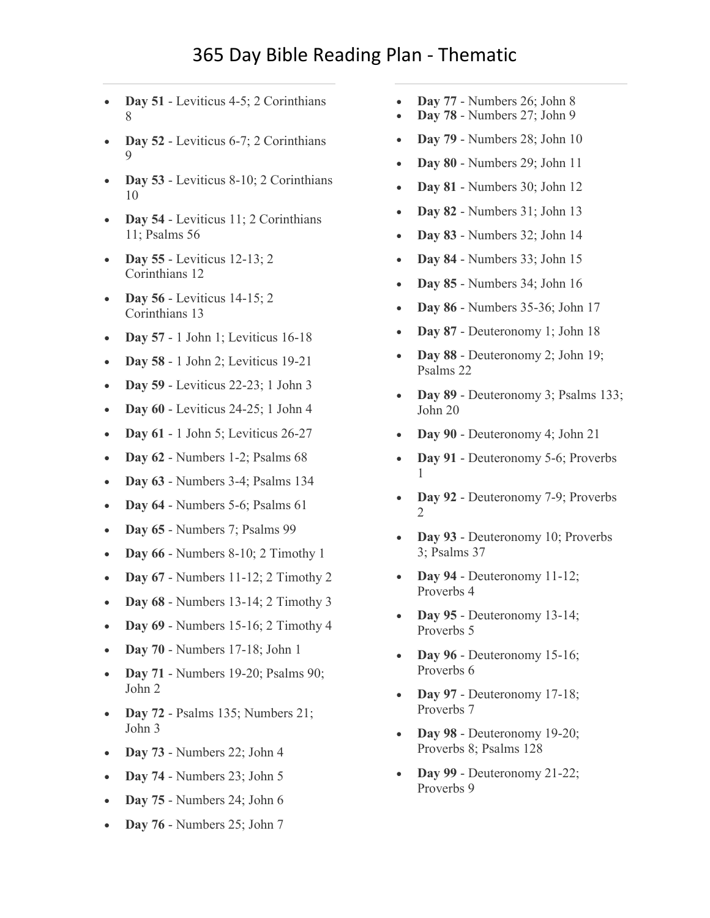- **Day 51** [Leviticus 4-5; 2 Corinthians](https://www.biblestudytools.com/passage/?q=Leviticus+4:1-35;+Leviticus+5:1-19;+2+Corinthians+8:1-24)  [8](https://www.biblestudytools.com/passage/?q=Leviticus+4:1-35;+Leviticus+5:1-19;+2+Corinthians+8:1-24)
- **Day 52** [Leviticus 6-7; 2 Corinthians](https://www.biblestudytools.com/passage/?q=Leviticus+6:1-30;+Leviticus+7:1-38;+2+Corinthians+9:1-15)  [9](https://www.biblestudytools.com/passage/?q=Leviticus+6:1-30;+Leviticus+7:1-38;+2+Corinthians+9:1-15)
- **Day 53** [Leviticus 8-10; 2 Corinthians](https://www.biblestudytools.com/passage/?q=Leviticus+8:1-36;+Leviticus+9:1-24;+Leviticus+10:1-20;+2+Corinthians+10:1-18)  [10](https://www.biblestudytools.com/passage/?q=Leviticus+8:1-36;+Leviticus+9:1-24;+Leviticus+10:1-20;+2+Corinthians+10:1-18)
- **Day 54** [Leviticus 11; 2 Corinthians](https://www.biblestudytools.com/passage/?q=Leviticus+11:1-47;+2+Corinthians+11:1-33;+Psalms+56:1-14)  [11; Psalms 56](https://www.biblestudytools.com/passage/?q=Leviticus+11:1-47;+2+Corinthians+11:1-33;+Psalms+56:1-14)
- **Day 55** [Leviticus 12-13; 2](https://www.biblestudytools.com/passage/?q=Leviticus+12:1-8;+Leviticus+13:1-59;+2+Corinthians+12:1-21)  [Corinthians 12](https://www.biblestudytools.com/passage/?q=Leviticus+12:1-8;+Leviticus+13:1-59;+2+Corinthians+12:1-21)
- **Day 56** [Leviticus 14-15; 2](https://www.biblestudytools.com/passage/?q=Leviticus+14:1-57;+Leviticus+15:1-33;+2+Corinthians+13:1-14)  [Corinthians 13](https://www.biblestudytools.com/passage/?q=Leviticus+14:1-57;+Leviticus+15:1-33;+2+Corinthians+13:1-14)
- **Day 57** [1 John 1; Leviticus 16-18](https://www.biblestudytools.com/passage/?q=1+John+1:1-10;+Leviticus+16:1-34;+Leviticus+17:1-16;+Leviticus+18:1-30)
- **Day 58** [1 John 2; Leviticus 19-21](https://www.biblestudytools.com/passage/?q=1+John+2:1-29;+Leviticus+19:1-37;+Leviticus+20:1-27;+Leviticus+21:1-24)
- **Day 59** [Leviticus 22-23; 1 John 3](https://www.biblestudytools.com/passage/?q=Leviticus+22:1-33;+Leviticus+23:1-44;+1+John+3:1-24)
- **Day 60** [Leviticus 24-25; 1 John 4](https://www.biblestudytools.com/passage/?q=Leviticus+24:1-23;+Leviticus+25:1-55;+1+John+4:1-21)
- **Day 61** [1 John 5; Leviticus 26-27](https://www.biblestudytools.com/passage/?q=1+John+5:1-21;+Leviticus+26:1-46;+Leviticus+27:1-34)
- **Day 62** [Numbers 1-2; Psalms 68](https://www.biblestudytools.com/passage/?q=Numbers+1:1-54;+Numbers+2:1-34;+Psalms+68:1-37)
- **Day 63** [Numbers 3-4; Psalms 134](https://www.biblestudytools.com/passage/?q=Numbers+3:1-51;+Numbers+4:1-49;+Psalms+134:1-21)
- **Day 64** [Numbers 5-6; Psalms 61](https://www.biblestudytools.com/passage/?q=Numbers+5:1-31;+Numbers+6:1-27;+Psalms+61:1-13)
- **Day 65** [Numbers 7; Psalms 99](https://www.biblestudytools.com/passage/?q=Numbers+7:1-89;+Psalms+99:1-9)
- **Day 66** [Numbers 8-10; 2 Timothy 1](https://www.biblestudytools.com/passage/?q=Numbers+8:1-26;+Numbers+9:1-23;+Numbers+10:1-36;+2+Timothy+1:1-18)
- **Day 67** [Numbers 11-12; 2 Timothy 2](https://www.biblestudytools.com/passage/?q=Numbers+11:1-35;+Numbers+12:1-16;+2+Timothy+2:1-26)
- **Day 68** [Numbers 13-14; 2 Timothy 3](https://www.biblestudytools.com/passage/?q=Numbers+13:1-34;+Numbers+14:1-45;+2+Timothy+3:1-17)
- **Day 69** [Numbers 15-16; 2 Timothy 4](https://www.biblestudytools.com/passage/?q=Numbers+15:1-41;+Numbers+16:1-50;+2+Timothy+4:1-22)
- **Day 70** [Numbers 17-18; John 1](https://www.biblestudytools.com/passage/?q=Numbers+17:1-13;+Numbers+18:1-32;+John+1:1-51)
- **Day 71** [Numbers 19-20; Psalms 90;](https://www.biblestudytools.com/passage/?q=Numbers+19:1-22;+Numbers+20:1-30;+Psalms+90:1-17;+John+2:1-25)  [John 2](https://www.biblestudytools.com/passage/?q=Numbers+19:1-22;+Numbers+20:1-30;+Psalms+90:1-17;+John+2:1-25)
- **Day 72** [Psalms 135; Numbers 21;](https://www.biblestudytools.com/passage/?q=Psalms+135:1-26;+Numbers+21:1-35;+John+3:1-36)  [John 3](https://www.biblestudytools.com/passage/?q=Psalms+135:1-26;+Numbers+21:1-35;+John+3:1-36)
- **Day 73** [Numbers 22; John 4](https://www.biblestudytools.com/passage/?q=Numbers+22:1-41;+John+4:1-54)
- **Day 74** [Numbers 23; John 5](https://www.biblestudytools.com/passage/?q=Numbers+23:1-30;+John+5:1-47)
- **Day 75** [Numbers 24; John 6](https://www.biblestudytools.com/passage/?q=Numbers+24:1-25;+John+6:1-72)
- **Day 76** [Numbers 25; John 7](https://www.biblestudytools.com/passage/?q=Numbers+25:1-18;+John+7:1-53)
- **Day 77** [Numbers 26; John 8](https://www.biblestudytools.com/passage/?q=Numbers+26:1-65;+John+8:1-59)
- **Day 78** [Numbers 27; John 9](https://www.biblestudytools.com/passage/?q=Numbers+27:1-23;+John+9:1-41)
- **Day 79** [Numbers 28; John 10](https://www.biblestudytools.com/passage/?q=Numbers+28:1-31;+John+10:1-42)
- **Day 80** [Numbers 29; John 11](https://www.biblestudytools.com/passage/?q=Numbers+29:1-40;+John+11:1-57)
- **Day 81** [Numbers 30; John 12](https://www.biblestudytools.com/passage/?q=Numbers+30:1-17;+John+12:1-50)
- **Day 82** [Numbers 31; John 13](https://www.biblestudytools.com/passage/?q=Numbers+31:1-54;+John+13:1-39)
- **Day 83** [Numbers 32; John 14](https://www.biblestudytools.com/passage/?q=Numbers+32:1-42;+John+14:1-31)
- **Day 84** [Numbers 33; John 15](https://www.biblestudytools.com/passage/?q=Numbers+33:1-56;+John+15:1-27)
- **Day 85** [Numbers 34; John 16](https://www.biblestudytools.com/passage/?q=Numbers+34:1-29;+John+16:1-33)
- **Day 86** [Numbers 35-36; John 17](https://www.biblestudytools.com/passage/?q=Numbers+35:1-34;+Numbers+36:1-13;+John+17:1-26)
- **Day 87** [Deuteronomy 1; John 18](https://www.biblestudytools.com/passage/?q=Deuteronomy+1:1-46;+John+18:1-40)
- **Day 88** [Deuteronomy 2; John 19;](https://www.biblestudytools.com/passage/?q=Deuteronomy+2:1-37;+John+19:1-42;+Psalms+22:1-32)  [Psalms 22](https://www.biblestudytools.com/passage/?q=Deuteronomy+2:1-37;+John+19:1-42;+Psalms+22:1-32)
- **Day 89** [Deuteronomy 3; Psalms 133;](https://www.biblestudytools.com/passage/?q=Deuteronomy+3:1-29;+Psalms+133:1-3;+John+20:1-31)  [John 20](https://www.biblestudytools.com/passage/?q=Deuteronomy+3:1-29;+Psalms+133:1-3;+John+20:1-31)
- **Day 90** [Deuteronomy 4; John 21](https://www.biblestudytools.com/passage/?q=Deuteronomy+4:1-49;+John+21:1-25)
- **Day 91** [Deuteronomy 5-6; Proverbs](https://www.biblestudytools.com/passage/?q=Deuteronomy+5:1-33;+Deuteronomy+6:1-25;+Proverbs+1:1-33)  [1](https://www.biblestudytools.com/passage/?q=Deuteronomy+5:1-33;+Deuteronomy+6:1-25;+Proverbs+1:1-33)
- **Day 92** [Deuteronomy 7-9; Proverbs](https://www.biblestudytools.com/passage/?q=Deuteronomy+7:1-26;+Deuteronomy+8:1-20;+Deuteronomy+9:1-29;+Proverbs+2:1-22)   $\mathcal{D}_{\mathcal{L}}$
- **Day 93** [Deuteronomy 10; Proverbs](https://www.biblestudytools.com/passage/?q=Deuteronomy+10:1-22;+Proverbs+3:1-35;+Psalms+37:1-40)  [3; Psalms 37](https://www.biblestudytools.com/passage/?q=Deuteronomy+10:1-22;+Proverbs+3:1-35;+Psalms+37:1-40)
- **Day 94** [Deuteronomy 11-12;](https://www.biblestudytools.com/passage/?q=Deuteronomy+11:1-32;+Deuteronomy+12:1-32;+Proverbs+4:1-27)  [Proverbs 4](https://www.biblestudytools.com/passage/?q=Deuteronomy+11:1-32;+Deuteronomy+12:1-32;+Proverbs+4:1-27)
- **Day 95** [Deuteronomy 13-14;](https://www.biblestudytools.com/passage/?q=Deuteronomy+13:1-18;+Deuteronomy+14:1-29;+Proverbs+5:1-23)  [Proverbs 5](https://www.biblestudytools.com/passage/?q=Deuteronomy+13:1-18;+Deuteronomy+14:1-29;+Proverbs+5:1-23)
- **Day 96** Deuteronomy 15-16; [Proverbs 6](https://www.biblestudytools.com/passage/?q=Deuteronomy+15:1-23;+Deuteronomy+16:1-22;+Proverbs+6:1-35)
- **Day 97** [Deuteronomy 17-18;](https://www.biblestudytools.com/passage/?q=Deuteronomy+17:1-20;+Deuteronomy+18:1-22;+Proverbs+7:1-27)  [Proverbs 7](https://www.biblestudytools.com/passage/?q=Deuteronomy+17:1-20;+Deuteronomy+18:1-22;+Proverbs+7:1-27)
- **Day 98** [Deuteronomy 19-20;](https://www.biblestudytools.com/passage/?q=Deuteronomy+19:1-21;+Deuteronomy+20:1-20;+Proverbs+8:1-36;+Psalms+128:1-8)  [Proverbs 8; Psalms 128](https://www.biblestudytools.com/passage/?q=Deuteronomy+19:1-21;+Deuteronomy+20:1-20;+Proverbs+8:1-36;+Psalms+128:1-8)
- **Day 99** [Deuteronomy 21-22;](https://www.biblestudytools.com/passage/?q=Deuteronomy+21:1-23;+Deuteronomy+22:1-30;+Proverbs+9:1-18)  [Proverbs 9](https://www.biblestudytools.com/passage/?q=Deuteronomy+21:1-23;+Deuteronomy+22:1-30;+Proverbs+9:1-18)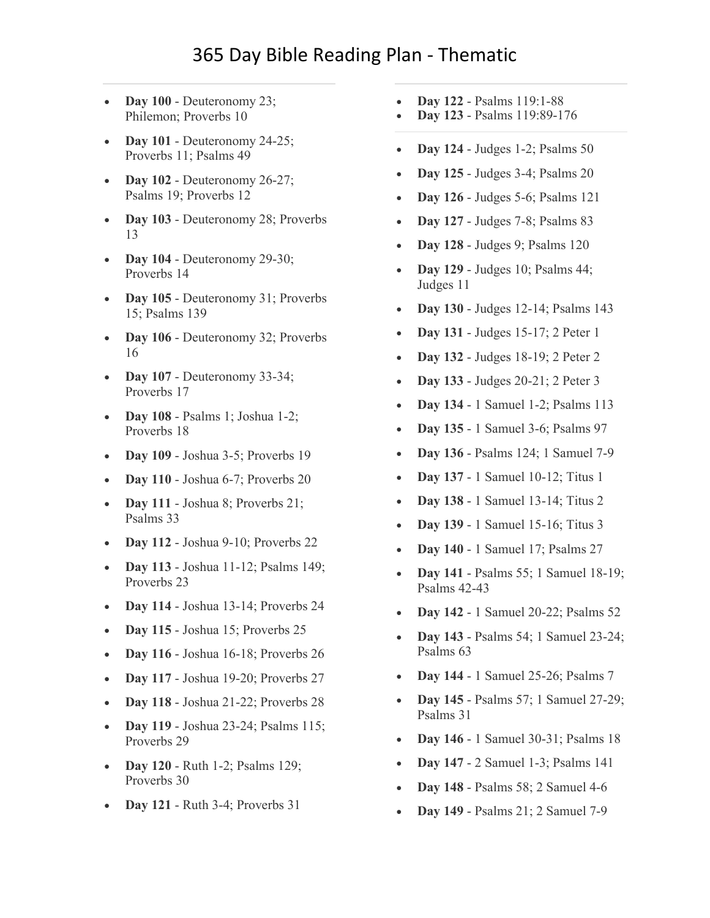- **Day 100** [Deuteronomy 23;](https://www.biblestudytools.com/passage/?q=Deuteronomy+23:1-25;+Philemon+1:1-25;+Proverbs+10:1-32)  [Philemon; Proverbs 10](https://www.biblestudytools.com/passage/?q=Deuteronomy+23:1-25;+Philemon+1:1-25;+Proverbs+10:1-32)
- **Day 101** [Deuteronomy 24-25;](https://www.biblestudytools.com/passage/?q=Deuteronomy+24:1-22;+Deuteronomy+25:1-19;+Proverbs+11:1-31;+Psalms+49:1-23)  [Proverbs 11; Psalms 49](https://www.biblestudytools.com/passage/?q=Deuteronomy+24:1-22;+Deuteronomy+25:1-19;+Proverbs+11:1-31;+Psalms+49:1-23)
- **Day 102** [Deuteronomy 26-27;](https://www.biblestudytools.com/passage/?q=Deuteronomy+26:1-19;+Deuteronomy+27:1-26;+Psalms+19:1-15;+Proverbs+12:1-28)  [Psalms 19; Proverbs 12](https://www.biblestudytools.com/passage/?q=Deuteronomy+26:1-19;+Deuteronomy+27:1-26;+Psalms+19:1-15;+Proverbs+12:1-28)
- **Day 103** [Deuteronomy 28; Proverbs](https://www.biblestudytools.com/passage/?q=Deuteronomy+28:1-68;+Proverbs+13:1-25)  [13](https://www.biblestudytools.com/passage/?q=Deuteronomy+28:1-68;+Proverbs+13:1-25)
- **Day 104** [Deuteronomy 29-30;](https://www.biblestudytools.com/passage/?q=Deuteronomy+29:1-29;+Deuteronomy+30:1-20;+Proverbs+14:1-35)  [Proverbs 14](https://www.biblestudytools.com/passage/?q=Deuteronomy+29:1-29;+Deuteronomy+30:1-20;+Proverbs+14:1-35)
- **Day 105** Deuteronomy 31; Proverbs [15; Psalms 139](https://www.biblestudytools.com/passage/?q=Deuteronomy+31:1-30;+Proverbs+15:1-33;+Psalms+139:1-24)
- **Day 106** Deuteronomy 32; Proverbs [16](https://www.biblestudytools.com/passage/?q=Deuteronomy+32:1-52;+Proverbs+16:1-33)
- **Day 107** [Deuteronomy 33-34;](https://www.biblestudytools.com/passage/?q=Deuteronomy+33:1-29;+Deuteronomy+34:1-12;+Proverbs+17:1-28)  [Proverbs 17](https://www.biblestudytools.com/passage/?q=Deuteronomy+33:1-29;+Deuteronomy+34:1-12;+Proverbs+17:1-28)
- **Day 108** [Psalms 1; Joshua 1-2;](https://www.biblestudytools.com/passage/?q=Psalms+1:1-6;+Joshua+1:1-18;+Joshua+2:1-24;+Proverbs+18:1-24)  [Proverbs 18](https://www.biblestudytools.com/passage/?q=Psalms+1:1-6;+Joshua+1:1-18;+Joshua+2:1-24;+Proverbs+18:1-24)
- **Day 109** [Joshua 3-5; Proverbs 19](https://www.biblestudytools.com/passage/?q=Joshua+3:1-17;+Joshua+4:1-25;+Joshua+5:1-16;+Proverbs+19:1-29)
- **Day 110** [Joshua 6-7; Proverbs 20](https://www.biblestudytools.com/passage/?q=Joshua+6:1-27;+Joshua+7:1-26;+Proverbs+20:1-30)
- **Day 111** Joshua 8; Proverbs 21; [Psalms 33](https://www.biblestudytools.com/passage/?q=Joshua+8:1-35;+Proverbs+21:1-31;+Psalms+33:1-23)
- **Day 112** [Joshua 9-10; Proverbs 22](https://www.biblestudytools.com/passage/?q=Joshua+9:1-27;+Joshua+10:1-44;+Proverbs+22:1-29)
- **Day 113** [Joshua 11-12; Psalms 149;](https://www.biblestudytools.com/passage/?q=Joshua+11:1-23;+Joshua+12:1-24;+Psalms+149:1-9;+Proverbs+23:1-35)  [Proverbs 23](https://www.biblestudytools.com/passage/?q=Joshua+11:1-23;+Joshua+12:1-24;+Psalms+149:1-9;+Proverbs+23:1-35)
- **Day 114** [Joshua 13-14; Proverbs 24](https://www.biblestudytools.com/passage/?q=Joshua+13:1-33;+Joshua+14:1-15;+Proverbs+24:1-34)
- **Day 115** [Joshua 15; Proverbs 25](https://www.biblestudytools.com/passage/?q=Joshua+15:1-63;+Proverbs+25:1-28)
- **Day 116** [Joshua 16-18; Proverbs 26](https://www.biblestudytools.com/passage/?q=Joshua+16:1-10;+Joshua+17:1-18;+Joshua+18:1-28;+Proverbs+26:1-28)
- **Day 117** [Joshua 19-20; Proverbs 27](https://www.biblestudytools.com/passage/?q=Joshua+19:1-51;+Joshua+20:1-9;+Proverbs+27:1-27)
- **Day 118** [Joshua 21-22; Proverbs 28](https://www.biblestudytools.com/passage/?q=Joshua+21:1-45;+Joshua+22:1-34;+Proverbs+28:1-28)
- **Day 119** [Joshua 23-24; Psalms 115;](https://www.biblestudytools.com/passage/?q=Joshua+23:1-16;+Joshua+24:1-33;+Psalms+115:1-18;+Proverbs+29:1-27)  [Proverbs 29](https://www.biblestudytools.com/passage/?q=Joshua+23:1-16;+Joshua+24:1-33;+Psalms+115:1-18;+Proverbs+29:1-27)
- **Day 120** [Ruth 1-2; Psalms 129;](https://www.biblestudytools.com/passage/?q=Ruth+1:1-22;+Ruth+2:1-23;+Psalms+129:1-8;+Proverbs+30:1-33)  [Proverbs 30](https://www.biblestudytools.com/passage/?q=Ruth+1:1-22;+Ruth+2:1-23;+Psalms+129:1-8;+Proverbs+30:1-33)
- **Day 121** [Ruth 3-4; Proverbs 31](https://www.biblestudytools.com/passage/?q=Ruth+3:1-18;+Ruth+4:1-22;+Proverbs+31:1-31)
- **Day 122** [Psalms 119:1-88](https://www.biblestudytools.com/passage/?q=Psalms+119:1-88)
- **Day 123** [Psalms 119:89-176](https://www.biblestudytools.com/passage/?q=Psalms+119:89-176)
- **Day 124** [Judges 1-2; Psalms 50](https://www.biblestudytools.com/passage/?q=Judges+1:1-36;+Judges+2:1-23;+Psalms+50:1-23)
- **Day 125** [Judges 3-4; Psalms 20](https://www.biblestudytools.com/passage/?q=Judges+3:1-31;+Judges+4:1-24;+Psalms+20:1-14)
- **Day 126** [Judges 5-6; Psalms 121](https://www.biblestudytools.com/passage/?q=Judges+5:1-32;+Judges+6:1-40;+Psalms+121:1-9)
- **Day 127** [Judges 7-8; Psalms 83](https://www.biblestudytools.com/passage/?q=Judges+7:1-25;+Judges+8:1-35;+Psalms+83:1-19)
- **Day 128** [Judges 9; Psalms 120](https://www.biblestudytools.com/passage/?q=Judges+9:1-57;+Psalms+120:1-8)
- **Day 129** [Judges 10; Psalms 44;](https://www.biblestudytools.com/passage/?q=Judges+10:1-18;+Psalms+44:1-27;+Judges+11:1-40)  [Judges 11](https://www.biblestudytools.com/passage/?q=Judges+10:1-18;+Psalms+44:1-27;+Judges+11:1-40)
- **Day 130** [Judges 12-14; Psalms 143](https://www.biblestudytools.com/passage/?q=Judges+12:1-15;+Judges+13:1-25;+Judges+14:1-20;+Psalms+143:1-15)
- **Day 131** [Judges 15-17; 2 Peter 1](https://www.biblestudytools.com/passage/?q=Judges+15:1-20;+Judges+16:1-31;+Judges+17:1-13;+2+Peter+1:1-21)
- **Day 132** [Judges 18-19; 2 Peter 2](https://www.biblestudytools.com/passage/?q=Judges+18:1-31;+Judges+19:1-30;+2+Peter+2:1-22)
- **Day 133** [Judges 20-21; 2 Peter 3](https://www.biblestudytools.com/passage/?q=Judges+20:1-48;+Judges+21:1-25;+2+Peter+3:1-18)
- **Day 134** [1 Samuel 1-2; Psalms 113](https://www.biblestudytools.com/passage/?q=1+Samuel+1:1-28;+1+Samuel+2:1-36;+Psalms+113:1-26)
- **Day 135** [1 Samuel 3-6; Psalms 97](https://www.biblestudytools.com/passage/?q=1+Samuel+3:1-21;+1+Samuel+4:1-22;+1+Samuel+5:1-12;+1+Samuel+6:1-21;+Psalms+97:1-12)
- **Day 136** [Psalms 124; 1 Samuel 7-9](https://www.biblestudytools.com/passage/?q=Psalms+124:1-8;+1+Samuel+7:1-17;+1+Samuel+8:1-22;+1+Samuel+9:1-27)
- **Day 137** [1 Samuel 10-12; Titus 1](https://www.biblestudytools.com/passage/?q=1+Samuel+10:1-27;+1+Samuel+11:1-15;+1+Samuel+12:1-25;+Titus+1:1-16)
- **Day 138** [1 Samuel 13-14; Titus 2](https://www.biblestudytools.com/passage/?q=1+Samuel+13:1-23;+1+Samuel+14:1-52;+Titus+2:1-15)
- **Day 139** [1 Samuel 15-16; Titus 3](https://www.biblestudytools.com/passage/?q=1+Samuel+15:1-35;+1+Samuel+16:1-23;+Titus+3:1-15)
- **Day 140** [1 Samuel 17; Psalms 27](https://www.biblestudytools.com/passage/?q=1+Samuel+17:1-58;+Psalms+27:1-14)
- **Day 141** [Psalms 55; 1 Samuel 18-19;](https://www.biblestudytools.com/passage/?q=Psalms+55:1-24;+1+Samuel+18:1-30;+1+Samuel+19:1-24;+Psalms+42:1-12;+Psalms+43:1-26)  [Psalms 42-43](https://www.biblestudytools.com/passage/?q=Psalms+55:1-24;+1+Samuel+18:1-30;+1+Samuel+19:1-24;+Psalms+42:1-12;+Psalms+43:1-26)
- **Day 142** [1 Samuel 20-22; Psalms 52](https://www.biblestudytools.com/passage/?q=1+Samuel+20:1-43;+1+Samuel+21:1-15;+1+Samuel+22:1-23;+Psalms+52:1-11)
- **Day 143** [Psalms 54; 1 Samuel 23-24;](https://www.biblestudytools.com/passage/?q=Psalms+54:1-24;+1+Samuel+23:1-29;+1+Samuel+24:1-23;+Psalms+63:1-12)  [Psalms 63](https://www.biblestudytools.com/passage/?q=Psalms+54:1-24;+1+Samuel+23:1-29;+1+Samuel+24:1-23;+Psalms+63:1-12)
- **Day 144** [1 Samuel 25-26; Psalms 7](https://www.biblestudytools.com/passage/?q=1+Samuel+25:1-44;+1+Samuel+26:1-25;+Psalms+7:1-18)
- **Day 145** [Psalms 57; 1 Samuel 27-29;](https://www.biblestudytools.com/passage/?q=Psalms+57:1-12;+1+Samuel+27:1-12;+1+Samuel+28:1-25;+1+Samuel+29:1-11;+Psalms+31:1-25)  [Psalms 31](https://www.biblestudytools.com/passage/?q=Psalms+57:1-12;+1+Samuel+27:1-12;+1+Samuel+28:1-25;+1+Samuel+29:1-11;+Psalms+31:1-25)
- **Day 146** [1 Samuel 30-31; Psalms 18](https://www.biblestudytools.com/passage/?q=1+Samuel+30:1-31;+1+Samuel+31:1-13;+Psalms+18:1-51)
- **Day 147** [2 Samuel 1-3; Psalms 141](https://www.biblestudytools.com/passage/?q=2+Samuel+1:1-27;+2+Samuel+2:1-32;+2+Samuel+3:1-39;+Psalms+141:1-10)
- **Day 148** [Psalms 58; 2 Samuel 4-6](https://www.biblestudytools.com/passage/?q=Psalms+58:1-18;+2+Samuel+4:1-12;+2+Samuel+5:1-25;+2+Samuel+6:1-23)
- **Day 149** [Psalms 21; 2 Samuel 7-9](https://www.biblestudytools.com/passage/?q=Psalms+21:1-32;+2+Samuel+7:1-29;+2+Samuel+8:1-18;+2+Samuel+9:1-13)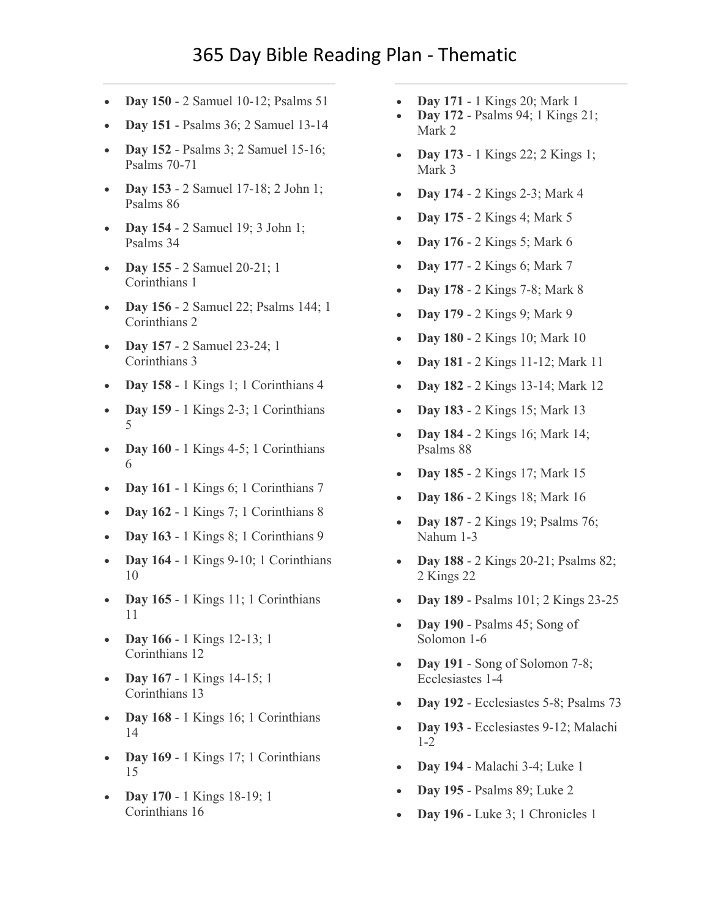- **Day 150** [2 Samuel 10-12; Psalms 51](https://www.biblestudytools.com/passage/?q=2+Samuel+10:1-19;+2+Samuel+11:1-27;+2+Samuel+12:1-31;+Psalms+51:1-21)
- **Day 151** [Psalms 36; 2 Samuel 13-14](https://www.biblestudytools.com/passage/?q=Psalms+36:1-40;+2+Samuel+13:1-39;+2+Samuel+14:1-33)
- **Day 152** [Psalms 3; 2 Samuel 15-16;](https://www.biblestudytools.com/passage/?q=Psalms+3:1-9;+2+Samuel+15:1-37;+2+Samuel+16:1-23;+Psalms+70:1-24;+Psalms+71:1-24)  [Psalms 70-71](https://www.biblestudytools.com/passage/?q=Psalms+3:1-9;+2+Samuel+15:1-37;+2+Samuel+16:1-23;+Psalms+70:1-24;+Psalms+71:1-24)
- **Day 153** [2 Samuel 17-18; 2 John 1;](https://www.biblestudytools.com/passage/?q=2+Samuel+17:1-29;+2+Samuel+18:1-33;+2+John+1:1-13;+Psalms+86:1-17)  [Psalms 86](https://www.biblestudytools.com/passage/?q=2+Samuel+17:1-29;+2+Samuel+18:1-33;+2+John+1:1-13;+Psalms+86:1-17)
- **Day 154** [2 Samuel 19; 3 John 1;](https://www.biblestudytools.com/passage/?q=2+Samuel+19:1-43;+3+John+1:1-15;+Psalms+34:1-28)  [Psalms 34](https://www.biblestudytools.com/passage/?q=2+Samuel+19:1-43;+3+John+1:1-15;+Psalms+34:1-28)
- **Day 155** [2 Samuel 20-21; 1](https://www.biblestudytools.com/passage/?q=2+Samuel+20:1-26;+2+Samuel+21:1-22;+1+Corinthians+1:1-31)  [Corinthians 1](https://www.biblestudytools.com/passage/?q=2+Samuel+20:1-26;+2+Samuel+21:1-22;+1+Corinthians+1:1-31)
- **Day 156** [2 Samuel 22; Psalms 144; 1](https://www.biblestudytools.com/passage/?q=2+Samuel+22:1-51;+Psalms+144:1-21;+1+Corinthians+2:1-16)  [Corinthians 2](https://www.biblestudytools.com/passage/?q=2+Samuel+22:1-51;+Psalms+144:1-21;+1+Corinthians+2:1-16)
- **Day 157** [2 Samuel 23-24; 1](https://www.biblestudytools.com/passage/?q=2+Samuel+23:1-39;+2+Samuel+24:1-25;+1+Corinthians+3:1-23)  [Corinthians 3](https://www.biblestudytools.com/passage/?q=2+Samuel+23:1-39;+2+Samuel+24:1-25;+1+Corinthians+3:1-23)
- **Day 158** [1 Kings 1; 1 Corinthians 4](https://www.biblestudytools.com/passage/?q=1+Kings+1:1-53;+1+Corinthians+4:1-21)
- **Day 159** [1 Kings 2-3; 1 Corinthians](https://www.biblestudytools.com/passage/?q=1+Kings+2:1-46;+1+Kings+3:1-28;+1+Corinthians+5:1-13)  [5](https://www.biblestudytools.com/passage/?q=1+Kings+2:1-46;+1+Kings+3:1-28;+1+Corinthians+5:1-13)
- **Day 160** [1 Kings 4-5; 1 Corinthians](https://www.biblestudytools.com/passage/?q=1+Kings+4:1-34;+1+Kings+5:1-18;+1+Corinthians+6:1-20)  [6](https://www.biblestudytools.com/passage/?q=1+Kings+4:1-34;+1+Kings+5:1-18;+1+Corinthians+6:1-20)
- **Day 161** [1 Kings 6; 1 Corinthians 7](https://www.biblestudytools.com/passage/?q=1+Kings+6:1-38;+1+Corinthians+7:1-40)
- **Day 162** [1 Kings 7; 1 Corinthians 8](https://www.biblestudytools.com/passage/?q=1+Kings+7:1-51;+1+Corinthians+8:1-13)
- **Day 163** [1 Kings 8; 1 Corinthians 9](https://www.biblestudytools.com/passage/?q=1+Kings+8:1-66;+1+Corinthians+9:1-27)
- **Day 164** [1 Kings 9-10; 1 Corinthians](https://www.biblestudytools.com/passage/?q=1+Kings+9:1-28;+1+Kings+10:1-29;+1+Corinthians+10:1-224)  [10](https://www.biblestudytools.com/passage/?q=1+Kings+9:1-28;+1+Kings+10:1-29;+1+Corinthians+10:1-224)
- **Day 165** 1 Kings 11; 1 Corinthians [11](https://www.biblestudytools.com/passage/?q=1+Kings+11:1-43;+1+Corinthians+11:1-34)
- **Day 166** [1 Kings 12-13; 1](https://www.biblestudytools.com/passage/?q=1+Kings+12:1-33;+1+Kings+13:1-34;+1+Corinthians+12:1-31)  [Corinthians 12](https://www.biblestudytools.com/passage/?q=1+Kings+12:1-33;+1+Kings+13:1-34;+1+Corinthians+12:1-31)
- **Day 167** [1 Kings 14-15;](https://www.biblestudytools.com/passage/?q=1+Kings+14:1-31;+1+Kings+15:1-34;+1+Corinthians+13:1-13) 1 [Corinthians 13](https://www.biblestudytools.com/passage/?q=1+Kings+14:1-31;+1+Kings+15:1-34;+1+Corinthians+13:1-13)
- **Day 168** [1 Kings 16; 1 Corinthians](https://www.biblestudytools.com/passage/?q=1+Kings+16:1-34;+1+Corinthians+14:1-40)  [14](https://www.biblestudytools.com/passage/?q=1+Kings+16:1-34;+1+Corinthians+14:1-40)
- **Day 169** [1 Kings 17; 1 Corinthians](https://www.biblestudytools.com/passage/?q=1+Kings+17:1-24;+1+Corinthians+15:1-58)  [15](https://www.biblestudytools.com/passage/?q=1+Kings+17:1-24;+1+Corinthians+15:1-58)
- **Day 170** [1 Kings 18-19; 1](https://www.biblestudytools.com/passage/?q=1+Kings+18:1-46;+1+Kings+19:1-21;+1+Corinthians+16:1-24)  [Corinthians 16](https://www.biblestudytools.com/passage/?q=1+Kings+18:1-46;+1+Kings+19:1-21;+1+Corinthians+16:1-24)
- **Day 171** [1 Kings 20; Mark 1](https://www.biblestudytools.com/passage/?q=1+Kings+20:1-43;+Mark+1:1-45)
- **Day 172** [Psalms 94; 1 Kings 21;](https://www.biblestudytools.com/passage/?q=Psalms+94:1-23;+1+Kings+21:1-29;+Mark+2:1-28)  [Mark 2](https://www.biblestudytools.com/passage/?q=Psalms+94:1-23;+1+Kings+21:1-29;+Mark+2:1-28)
- **Day 173** [1 Kings 22; 2 Kings 1;](https://www.biblestudytools.com/passage/?q=1+Kings+22:1-54;+2+Kings+1:1-18;+Mark+3:1-35)  [Mark 3](https://www.biblestudytools.com/passage/?q=1+Kings+22:1-54;+2+Kings+1:1-18;+Mark+3:1-35)
- **Day 174** [2 Kings 2-3; Mark 4](https://www.biblestudytools.com/passage/?q=2+Kings+2:1-25;+2+Kings+3:1-27;+Mark+4:1-41)
- **Day 175** [2 Kings 4; Mark 5](https://www.biblestudytools.com/passage/?q=2+Kings+4:1-44;+Mark+5:1-43)
- **Day 176** [2 Kings 5; Mark 6](https://www.biblestudytools.com/passage/?q=2+Kings+5:1-27;+Mark+6:1-56)
- **Day 177** [2 Kings 6; Mark 7](https://www.biblestudytools.com/passage/?q=2+Kings+6:1-33;+Mark+7:1-37)
- **Day 178** [2 Kings 7-8; Mark 8](https://www.biblestudytools.com/passage/?q=2+Kings+7:1-20;+2+Kings+8:1-29;+Mark+8:1-39)
- **Day 179** [2 Kings 9; Mark 9](https://www.biblestudytools.com/passage/?q=2+Kings+9:1-37;+Mark+9:1-51)
- **Day 180** [2 Kings 10; Mark 10](https://www.biblestudytools.com/passage/?q=2+Kings+10:1-36;+Mark+10:1-53)
- **Day 181** [2 Kings 11-12; Mark 11](https://www.biblestudytools.com/passage/?q=2+Kings+11:1-21;+2+Kings+12:1-21;+Mark+11:1-33)
- **Day 182** [2 Kings 13-14; Mark 12](https://www.biblestudytools.com/passage/?q=2+Kings+13:1-25;+2+Kings+14:1-29;+Mark+12:1-44)
- **Day 183** [2 Kings 15; Mark 13](https://www.biblestudytools.com/passage/?q=2+Kings+15:1-38;+Mark+13:1-37)
- **Day 184** [2 Kings 16; Mark 14;](https://www.biblestudytools.com/passage/?q=2+Kings+16:1-20;+Mark+14:1-72;+Psalms+88:1-53)  [Psalms 88](https://www.biblestudytools.com/passage/?q=2+Kings+16:1-20;+Mark+14:1-72;+Psalms+88:1-53)
- **Day 185** [2 Kings 17; Mark 15](https://www.biblestudytools.com/passage/?q=2+Kings+17:1-41;+Mark+15:1-47)
- **Day 186** [2 Kings 18; Mark 16](https://www.biblestudytools.com/passage/?q=2+Kings+18:1-37;+Mark+16:1-20)
- **Day 187** [2 Kings 19; Psalms 76;](https://www.biblestudytools.com/passage/?q=2+Kings+19:1-37;+Psalms+76:1-21;+Nahum+1:1-15;+Nahum+2:1-13;+Nahum+3:1-19)  [Nahum 1-3](https://www.biblestudytools.com/passage/?q=2+Kings+19:1-37;+Psalms+76:1-21;+Nahum+1:1-15;+Nahum+2:1-13;+Nahum+3:1-19)
- **Day 188** [2 Kings 20-21; Psalms 82;](https://www.biblestudytools.com/passage/?q=2+Kings+20:1-21;+2+Kings+21:1-26;+Psalms+82:1-19;+2+Kings+22:1-20)  [2 Kings 22](https://www.biblestudytools.com/passage/?q=2+Kings+20:1-21;+2+Kings+21:1-26;+Psalms+82:1-19;+2+Kings+22:1-20)
- **Day 189** [Psalms 101; 2 Kings 23-25](https://www.biblestudytools.com/passage/?q=Psalms+101:1-29;+2+Kings+23:1-37;+2+Kings+24:1-20;+2+Kings+25:1-30)
- **Day 190** [Psalms 45; Song of](https://www.biblestudytools.com/passage/?q=Psalms+45:1-18;+Song+of+Solomon+1:1-17;+Song+of+Solomon+2:1-17;+Song+of+Solomon+3:1-11;+Song+of+Solomon+4:1-16;+Song+of+Solomon+5:1-17;+Song+of+Solomon+6:1-13)  [Solomon 1-6](https://www.biblestudytools.com/passage/?q=Psalms+45:1-18;+Song+of+Solomon+1:1-17;+Song+of+Solomon+2:1-17;+Song+of+Solomon+3:1-11;+Song+of+Solomon+4:1-16;+Song+of+Solomon+5:1-17;+Song+of+Solomon+6:1-13)
- **Day 191** [Song of Solomon 7-8;](https://www.biblestudytools.com/passage/?q=Song+of+Solomon+7:1-13;+Song+of+Solomon+8:1-14;+Ecclesiastes+1:1-18;+Ecclesiastes+2:1-26;+Ecclesiastes+3:1-22;+Ecclesiastes+4:1-17)  [Ecclesiastes 1-4](https://www.biblestudytools.com/passage/?q=Song+of+Solomon+7:1-13;+Song+of+Solomon+8:1-14;+Ecclesiastes+1:1-18;+Ecclesiastes+2:1-26;+Ecclesiastes+3:1-22;+Ecclesiastes+4:1-17)
- **Day 192** [Ecclesiastes 5-8; Psalms 73](https://www.biblestudytools.com/passage/?q=Ecclesiastes+5:1-20;+Ecclesiastes+6:1-12;+Ecclesiastes+7:1-30;+Ecclesiastes+8:1-17;+Psalms+73:1-28)
- **Day 193** [Ecclesiastes 9-12; Malachi](https://www.biblestudytools.com/passage/?q=Ecclesiastes+9:1-18;+Ecclesiastes+10:1-20;+Ecclesiastes+11:1-10;+Ecclesiastes+12:1-16;+Malachi+1:1-14;+Malachi+2:1-17)  [1-2](https://www.biblestudytools.com/passage/?q=Ecclesiastes+9:1-18;+Ecclesiastes+10:1-20;+Ecclesiastes+11:1-10;+Ecclesiastes+12:1-16;+Malachi+1:1-14;+Malachi+2:1-17)
- **Day 194** [Malachi 3-4; Luke 1](https://www.biblestudytools.com/passage/?q=Malachi+3:1-18;+Malachi+4:1-6;+Luke+1:1-80)
- **Day 195** [Psalms 89; Luke 2](https://www.biblestudytools.com/passage/?q=Psalms+89:1-53;+Luke+2:1-52)
- **Day 196** [Luke 3; 1 Chronicles 1](https://www.biblestudytools.com/passage/?q=Luke+3:1-38;+1+Chronicles+1:1-54)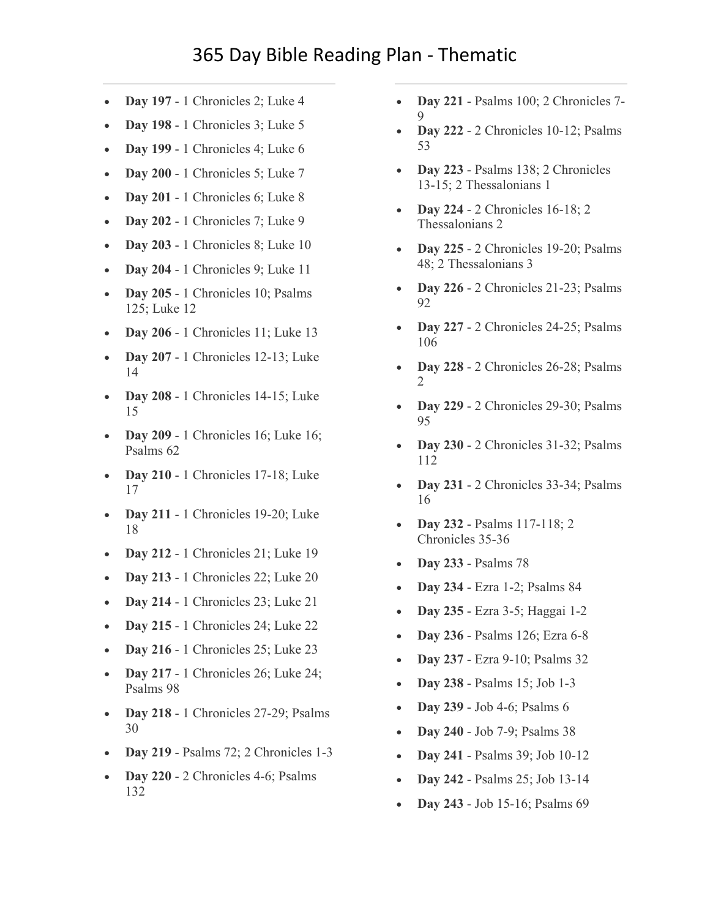- **Day 197** [1 Chronicles 2; Luke 4](https://www.biblestudytools.com/passage/?q=1+Chronicles+2:1-55;+Luke+4:1-44)
- **Day 198** [1 Chronicles 3; Luke 5](https://www.biblestudytools.com/passage/?q=1+Chronicles+3:1-24;+Luke+5:1-39)
- **Day 199** [1 Chronicles 4; Luke 6](https://www.biblestudytools.com/passage/?q=1+Chronicles+4:1-43;+Luke+6:1-49)
- **Day 200** [1 Chronicles 5; Luke 7](https://www.biblestudytools.com/passage/?q=1+Chronicles+5:1-26;+Luke+7:1-50)
- **Day 201** [1 Chronicles 6; Luke 8](https://www.biblestudytools.com/passage/?q=1+Chronicles+6:1-81;+Luke+8:1-56)
- **Day 202** [1 Chronicles 7; Luke 9](https://www.biblestudytools.com/passage/?q=1+Chronicles+7:1-40;+Luke+9:1-62)
- **Day 203** [1 Chronicles 8; Luke 10](https://www.biblestudytools.com/passage/?q=1+Chronicles+8:1-40;+Luke+10:1-42)
- **Day 204** [1 Chronicles 9; Luke 11](https://www.biblestudytools.com/passage/?q=1+Chronicles+9:1-44;+Luke+11:1-54)
- **Day 205** 1 Chronicles 10; Psalms [125; Luke 12](https://www.biblestudytools.com/passage/?q=1+Chronicles+10:1-14;+Psalms+125:1-6;+Luke+12:1-59)
- **Day 206** [1 Chronicles 11; Luke 13](https://www.biblestudytools.com/passage/?q=1+Chronicles+11:1-47;+Luke+13:1-35)
- **Day 207** [1 Chronicles 12-13; Luke](https://www.biblestudytools.com/passage/?q=1+Chronicles+12:1-40;+1+Chronicles+13:1-14;+Luke+14:1-35)  [14](https://www.biblestudytools.com/passage/?q=1+Chronicles+12:1-40;+1+Chronicles+13:1-14;+Luke+14:1-35)
- **Day 208** [1 Chronicles 14-15; Luke](https://www.biblestudytools.com/passage/?q=1+Chronicles+14:1-17;+1+Chronicles+15:1-29;+Luke+15:1-32)  [15](https://www.biblestudytools.com/passage/?q=1+Chronicles+14:1-17;+1+Chronicles+15:1-29;+Luke+15:1-32)
- **Day 209** 1 Chronicles 16; Luke 16; [Psalms 62](https://www.biblestudytools.com/passage/?q=1+Chronicles+16:1-43;+Luke+16:1-31;+Psalms+62:1-13)
- **Day 210** 1 Chronicles 17-18; Luke [17](https://www.biblestudytools.com/passage/?q=1+Chronicles+17:1-27;+1+Chronicles+18:1-17;+Luke+17:1-37)
- **Day 211** 1 Chronicles 19-20; Luke [18](https://www.biblestudytools.com/passage/?q=1+Chronicles+19:1-20;+1+Chronicles+20:1-8;+Luke+18:1-43)
- **Day 212** [1 Chronicles 21; Luke 19](https://www.biblestudytools.com/passage/?q=1+Chronicles+21:1-30;+Luke+19:1-48)
- **Day 213** [1 Chronicles 22; Luke 20](https://www.biblestudytools.com/passage/?q=1+Chronicles+22:1-19;+Luke+20:1-47)
- **Day 214** [1 Chronicles 23; Luke 21](https://www.biblestudytools.com/passage/?q=1+Chronicles+23:1-32;+Luke+21:1-38)
- **Day 215** [1 Chronicles 24; Luke 22](https://www.biblestudytools.com/passage/?q=1+Chronicles+24:1-31;+Luke+22:1-71)
- **Day 216** [1 Chronicles 25; Luke 23](https://www.biblestudytools.com/passage/?q=1+Chronicles+25:1-31;+Luke+23:1-56)
- **Day 217** [1 Chronicles 26; Luke 24;](https://www.biblestudytools.com/passage/?q=1+Chronicles+26:1-32;+Luke+24:1-53;+Psalms+98:1-9)  [Psalms 98](https://www.biblestudytools.com/passage/?q=1+Chronicles+26:1-32;+Luke+24:1-53;+Psalms+98:1-9)
- **Day 218** [1 Chronicles 27-29; Psalms](https://www.biblestudytools.com/passage/?q=1+Chronicles+27:1-34;+1+Chronicles+28:1-21;+1+Chronicles+29:1-30;+Psalms+30:1-25)  [30](https://www.biblestudytools.com/passage/?q=1+Chronicles+27:1-34;+1+Chronicles+28:1-21;+1+Chronicles+29:1-30;+Psalms+30:1-25)
- **Day 219** [Psalms 72; 2 Chronicles 1-3](https://www.biblestudytools.com/passage/?q=Psalms+72:1-28;+2+Chronicles+1:1-17;+2+Chronicles+2:1-18;+2+Chronicles+3:1-17)
- **Day 220** [2 Chronicles 4-6; Psalms](https://www.biblestudytools.com/passage/?q=2+Chronicles+4:1-22;+2+Chronicles+5:1-14;+2+Chronicles+6:1-42;+Psalms+132:1-18)  [132](https://www.biblestudytools.com/passage/?q=2+Chronicles+4:1-22;+2+Chronicles+5:1-14;+2+Chronicles+6:1-42;+Psalms+132:1-18)
- **[D](https://www.biblestudytools.com/passage/?q=Psalms+100:1-8;+2+Chronicles+7:1-22;+2+Chronicles+8:1-18;+2+Chronicles+9:1-31)ay 221** [Psalms 100; 2 Chronicles 7-](https://www.biblestudytools.com/passage/?q=Psalms+100:1-8;+2+Chronicles+7:1-22;+2+Chronicles+8:1-18;+2+Chronicles+9:1-31) 9
- **Day 222** [2 Chronicles 10-12; Psalms](https://www.biblestudytools.com/passage/?q=2+Chronicles+10:1-19;+2+Chronicles+11:1-23;+2+Chronicles+12:1-16;+Psalms+53:1-9)  [53](https://www.biblestudytools.com/passage/?q=2+Chronicles+10:1-19;+2+Chronicles+11:1-23;+2+Chronicles+12:1-16;+Psalms+53:1-9)
- **Day 223** [Psalms 138; 2 Chronicles](https://www.biblestudytools.com/passage/?q=Psalms+138:1-24;+2+Chronicles+13:1-22;+2+Chronicles+14:1-15;+2+Chronicles+15:1-19;+2+Thessalonians+1:1-17)  [13-15; 2 Thessalonians 1](https://www.biblestudytools.com/passage/?q=Psalms+138:1-24;+2+Chronicles+13:1-22;+2+Chronicles+14:1-15;+2+Chronicles+15:1-19;+2+Thessalonians+1:1-17)
- **Day 224** [2 Chronicles 16-18; 2](https://www.biblestudytools.com/passage/?q=2+Chronicles+16:1-14;+2+Chronicles+17:1-19;+2+Chronicles+18:1-34;+2+Thessalonians+2:1-17)  [Thessalonians 2](https://www.biblestudytools.com/passage/?q=2+Chronicles+16:1-14;+2+Chronicles+17:1-19;+2+Chronicles+18:1-34;+2+Thessalonians+2:1-17)
- **Day 225** [2 Chronicles 19-20; Psalms](https://www.biblestudytools.com/passage/?q=2+Chronicles+19:1-11;+2+Chronicles+20:1-37;+Psalms+48:1-21;+2+Thessalonians+3:1-18)  [48; 2 Thessalonians 3](https://www.biblestudytools.com/passage/?q=2+Chronicles+19:1-11;+2+Chronicles+20:1-37;+Psalms+48:1-21;+2+Thessalonians+3:1-18)
- **Day 226** [2 Chronicles 21-23; Psalms](https://www.biblestudytools.com/passage/?q=2+Chronicles+21:1-20;+2+Chronicles+22:1-12;+2+Chronicles+23:1-21;+Psalms+92:1-16)  [92](https://www.biblestudytools.com/passage/?q=2+Chronicles+21:1-20;+2+Chronicles+22:1-12;+2+Chronicles+23:1-21;+Psalms+92:1-16)
- **Day 227** 2 Chronicles [24-25; Psalms](https://www.biblestudytools.com/passage/?q=2+Chronicles+24:1-27;+2+Chronicles+25:1-28;+Psalms+106:1-48)  [106](https://www.biblestudytools.com/passage/?q=2+Chronicles+24:1-27;+2+Chronicles+25:1-28;+Psalms+106:1-48)
- **Day 228** [2 Chronicles 26-28; Psalms](https://www.biblestudytools.com/passage/?q=2+Chronicles+26:1-23;+2+Chronicles+27:1-9;+2+Chronicles+28:1-27;+Psalms+2:1-13)   $\mathcal{D}$
- **Day 229** [2 Chronicles 29-30; Psalms](https://www.biblestudytools.com/passage/?q=2+Chronicles+29:1-36;+2+Chronicles+30:1-27;+Psalms+95:1-13)  [95](https://www.biblestudytools.com/passage/?q=2+Chronicles+29:1-36;+2+Chronicles+30:1-27;+Psalms+95:1-13)
- **Day 230** [2 Chronicles 31-32; Psalms](https://www.biblestudytools.com/passage/?q=2+Chronicles+31:1-21;+2+Chronicles+32:1-33;+Psalms+112:1-10)  [112](https://www.biblestudytools.com/passage/?q=2+Chronicles+31:1-21;+2+Chronicles+32:1-33;+Psalms+112:1-10)
- **Day 231** [2 Chronicles 33-34; Psalms](https://www.biblestudytools.com/passage/?q=2+Chronicles+33:1-25;+2+Chronicles+34:1-33;+Psalms+16:1-15)  [16](https://www.biblestudytools.com/passage/?q=2+Chronicles+33:1-25;+2+Chronicles+34:1-33;+Psalms+16:1-15)
- **Day 232** [Psalms 117-118; 2](https://www.biblestudytools.com/passage/?q=Psalms+117:1-29;+Psalms+118:1-176;+2+Chronicles+35:1-27;+2+Chronicles+36:1-23)  [Chronicles 35-36](https://www.biblestudytools.com/passage/?q=Psalms+117:1-29;+Psalms+118:1-176;+2+Chronicles+35:1-27;+2+Chronicles+36:1-23)
- **Day 233** [Psalms 78](https://www.biblestudytools.com/passage/?q=Psalms+78:1-72)
- **Day 234** [Ezra 1-2; Psalms 84](https://www.biblestudytools.com/passage/?q=Ezra+1:1-11;+Ezra+2:1-70;+Psalms+84:1-14)
- **Day 235** [Ezra 3-5; Haggai 1-2](https://www.biblestudytools.com/passage/?q=Ezra+3:1-13;+Ezra+4:1-24;+Ezra+5:1-17;+Haggai+1:1-15;+Haggai+2:1-24)
- **Day 236** [Psalms 126; Ezra 6-8](https://www.biblestudytools.com/passage/?q=Psalms+126:1-6;+Ezra+6:1-22;+Ezra+7:1-28;+Ezra+8:1-36)
- **Day 237** [Ezra 9-10; Psalms 32](https://www.biblestudytools.com/passage/?q=Ezra+9:1-15;+Ezra+10:1-44;+Psalms+32:1-22)
- **Day 238** [Psalms 15; Job 1-3](https://www.biblestudytools.com/passage/?q=Psalms+15:1-10;+Job+1:1-22;+Job+2:1-13;+Job+3:1-26)
- **Day 239** [Job 4-6; Psalms 6](https://www.biblestudytools.com/passage/?q=Job+4:1-21;+Job+5:1-27;+Job+6:1-30;+Psalms+6:1-11)
- **Day 240** [Job 7-9; Psalms 38](https://www.biblestudytools.com/passage/?q=Job+7:1-21;+Job+8:1-22;+Job+9:1-35;+Psalms+38:1-23)
- **Day 241** [Psalms 39; Job 10-12](https://www.biblestudytools.com/passage/?q=Psalms+39:1-18;+Job+10:1-22;+Job+11:1-20;+Job+12:1-25)
- **Day 242** [Psalms 25; Job 13-14](https://www.biblestudytools.com/passage/?q=Psalms+25:1-22;+Job+13:1-28;+Job+14:1-22)
- **Day 243** [Job 15-16; Psalms 69](https://www.biblestudytools.com/passage/?q=Job+15:1-35;+Job+16:1-23;+Psalms+69:1-37)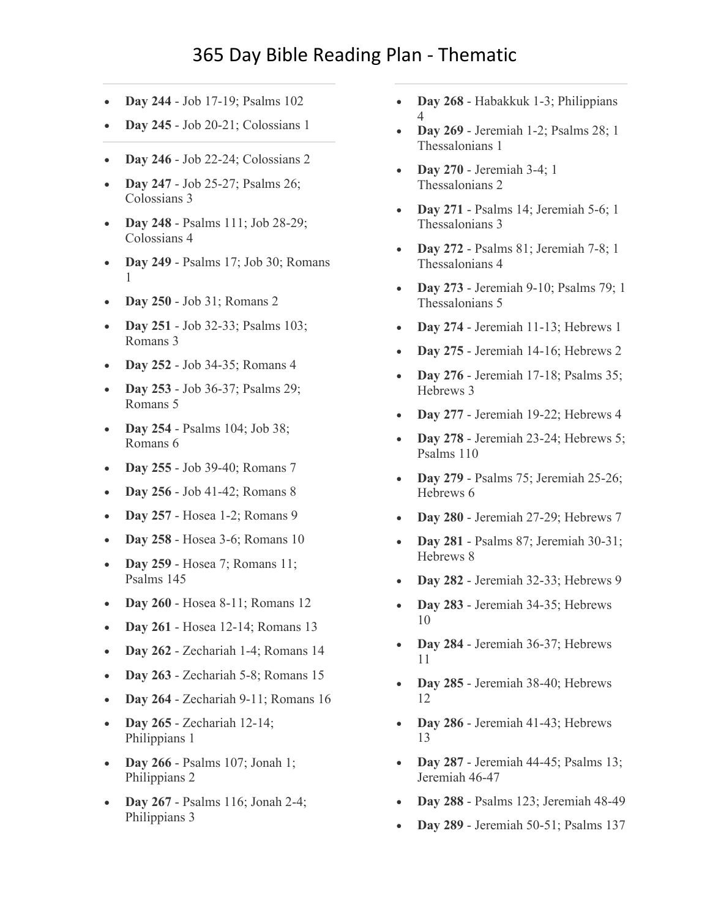## 365 Day Bible Reading Plan - Thematic

- **Day 244** [Job 17-19; Psalms 102](https://www.biblestudytools.com/passage/?q=Job+17:1-16;+Job+18:1-21;+Job+19:1-29;+Psalms+102:1-29)
- **Day 245** [Job 20-21; Colossians 1](https://www.biblestudytools.com/passage/?q=Job+20:1-29;+Job+21:1-34;+Colossians+1:1-29)
- **Day 246** Job [22-24; Colossians 2](https://www.biblestudytools.com/passage/?q=Job+22:1-30;+Job+23:1-17;+Job+24:1-25;+Colossians+2:1-23)
- **Day 247** [Job 25-27; Psalms 26;](https://www.biblestudytools.com/passage/?q=Job+25:1-6;+Job+26:1-14;+Job+27:1-23;+Psalms+26:1-14;+Colossians+3:1-25)  [Colossians 3](https://www.biblestudytools.com/passage/?q=Job+25:1-6;+Job+26:1-14;+Job+27:1-23;+Psalms+26:1-14;+Colossians+3:1-25)
- **Day 248** [Psalms 111; Job 28-29;](https://www.biblestudytools.com/passage/?q=Psalms+111:1-10;+Job+28:1-28;+Job+29:1-25;+Colossians+4:1-18)  [Colossians 4](https://www.biblestudytools.com/passage/?q=Psalms+111:1-10;+Job+28:1-28;+Job+29:1-25;+Colossians+4:1-18)
- **Day 249** [Psalms 17; Job 30; Romans](https://www.biblestudytools.com/passage/?q=Psalms+17:1-51;+Job+30:1-31;+Romans+1:1-32)  [1](https://www.biblestudytools.com/passage/?q=Psalms+17:1-51;+Job+30:1-31;+Romans+1:1-32)
- **Day 250** [Job 31; Romans 2](https://www.biblestudytools.com/passage/?q=Job+31:1-40;+Romans+2:1-29)
- **Day 251** Job 32-33; Psalms 103; [Romans 3](https://www.biblestudytools.com/passage/?q=Job+32:1-22;+Job+33:1-33;+Psalms+103:1-35;+Romans+3:1-31)
- **Day 252** [Job 34-35; Romans 4](https://www.biblestudytools.com/passage/?q=Job+34:1-37;+Job+35:1-16;+Romans+4:1-25)
- **Day 253** [Job 36-37; Psalms 29;](https://www.biblestudytools.com/passage/?q=Job+36:1-33;+Job+37:1-24;+Psalms+29:1-13;+Romans+5:1-21)  [Romans 5](https://www.biblestudytools.com/passage/?q=Job+36:1-33;+Job+37:1-24;+Psalms+29:1-13;+Romans+5:1-21)
- **Day 254** [Psalms 104; Job 38;](https://www.biblestudytools.com/passage/?q=Psalms+104:1-45;+Job+38:1-41;+Romans+6:1-23)  [Romans 6](https://www.biblestudytools.com/passage/?q=Psalms+104:1-45;+Job+38:1-41;+Romans+6:1-23)
- **Day 255** [Job 39-40; Romans 7](https://www.biblestudytools.com/passage/?q=Job+39:1-38;+Job+40:1-28;+Romans+7:1-25)
- **Day 256** [Job 41-42; Romans 8](https://www.biblestudytools.com/passage/?q=Job+41:1-34;+Job+42:1-17;+Romans+8:1-39)
- **Day 257** [Hosea 1-2; Romans 9](https://www.biblestudytools.com/passage/?q=Hosea+1:1-11;+Hosea+2:1-24;+Romans+9:1-33)
- **Day 258** [Hosea 3-6; Romans 10](https://www.biblestudytools.com/passage/?q=Hosea+3:1-5;+Hosea+4:1-19;+Hosea+5:1-15;+Hosea+6:1-11;+Romans+10:1-21)
- **Day 259** [Hosea 7; Romans 11;](https://www.biblestudytools.com/passage/?q=Hosea+7:1-16;+Romans+11:1-36;+Psalms+145:1-21)  [Psalms 145](https://www.biblestudytools.com/passage/?q=Hosea+7:1-16;+Romans+11:1-36;+Psalms+145:1-21)
- **Day 260** [Hosea 8-11; Romans 12](https://www.biblestudytools.com/passage/?q=Hosea+8:1-14;+Hosea+9:1-17;+Hosea+10:1-15;+Hosea+11:1-12;+Romans+12:1-21)
- **Day 261** [Hosea 12-14; Romans 13](https://www.biblestudytools.com/passage/?q=Hosea+12:1-15;+Hosea+13:1-16;+Hosea+14:1-10;+Romans+13:1-14)
- **Day 262** [Zechariah 1-4; Romans 14](https://www.biblestudytools.com/passage/?q=Zechariah+1:1-21;+Zechariah+2:1-13;+Zechariah+3:1-10;+Zechariah+4:1-14;+Romans+14:1-26)
- **Day 263** [Zechariah 5-8; Romans 15](https://www.biblestudytools.com/passage/?q=Zechariah+5:1-11;+Zechariah+6:1-15;+Zechariah+7:1-14;+Zechariah+8:1-23;+Romans+15:1-33)
- **Day 264** [Zechariah 9-11; Romans 16](https://www.biblestudytools.com/passage/?q=Zechariah+9:1-17;+Zechariah+10:1-12;+Zechariah+11:1-114;+Romans+16:1-27)
- **Day 265** [Zechariah 12-14;](https://www.biblestudytools.com/passage/?q=Zechariah+12:1-14;+Zechariah+13:1-9;+Zechariah+14:1-21;+Philippians+1:1-30)  [Philippians 1](https://www.biblestudytools.com/passage/?q=Zechariah+12:1-14;+Zechariah+13:1-9;+Zechariah+14:1-21;+Philippians+1:1-30)
- **Day 266** [Psalms 107; Jonah 1;](https://www.biblestudytools.com/passage/?q=Psalms+107:1-43;+Jonah+1:1-17;+Philippians+2:1-30)  [Philippians 2](https://www.biblestudytools.com/passage/?q=Psalms+107:1-43;+Jonah+1:1-17;+Philippians+2:1-30)
- **Day 267** [Psalms 116; Jonah 2-4;](https://www.biblestudytools.com/passage/?q=Psalms+116:1-19;+Jonah+2:1-11;+Jonah+3:1-10;+Jonah+4:1-11;+Philippians+3:1-21)  [Philippians 3](https://www.biblestudytools.com/passage/?q=Psalms+116:1-19;+Jonah+2:1-11;+Jonah+3:1-10;+Jonah+4:1-11;+Philippians+3:1-21)
- **[D](https://www.biblestudytools.com/passage/?q=Habakkuk+1:1-17;+Habakkuk+2:1-20;+Habakkuk+3:1-19;+Philippians+4:1-23)ay 268** [Habakkuk 1-3; Philippians](https://www.biblestudytools.com/passage/?q=Habakkuk+1:1-17;+Habakkuk+2:1-20;+Habakkuk+3:1-19;+Philippians+4:1-23)  4
- **Day 269** [Jeremiah 1-2; Psalms 28; 1](https://www.biblestudytools.com/passage/?q=Jeremiah+1:1-19;+Jeremiah+2:1-37;+Psalms+28:1-11;+1+Thessalonians+1:1-10)  [Thessalonians 1](https://www.biblestudytools.com/passage/?q=Jeremiah+1:1-19;+Jeremiah+2:1-37;+Psalms+28:1-11;+1+Thessalonians+1:1-10)
- **Day 270** [Jeremiah 3-4; 1](https://www.biblestudytools.com/passage/?q=Jeremiah+3:1-25;+Jeremiah+4:1-31;+1+Thessalonians+2:1-20)  [Thessalonians 2](https://www.biblestudytools.com/passage/?q=Jeremiah+3:1-25;+Jeremiah+4:1-31;+1+Thessalonians+2:1-20)
- **Day 271** [Psalms 14; Jeremiah 5-6; 1](https://www.biblestudytools.com/passage/?q=Psalms+14:1-7;+Jeremiah+5:1-31;+Jeremiah+6:1-30;+1+Thessalonians+3:1-13)  [Thessalonians 3](https://www.biblestudytools.com/passage/?q=Psalms+14:1-7;+Jeremiah+5:1-31;+Jeremiah+6:1-30;+1+Thessalonians+3:1-13)
- **Day 272** [Psalms 81; Jeremiah 7-8; 1](https://www.biblestudytools.com/passage/?q=Psalms+81:1-17;+Jeremiah+7:1-34;+Jeremiah+8:1-22;+1+Thessalonians+4:1-18)  [Thessalonians 4](https://www.biblestudytools.com/passage/?q=Psalms+81:1-17;+Jeremiah+7:1-34;+Jeremiah+8:1-22;+1+Thessalonians+4:1-18)
- **Day 273** [Jeremiah 9-10; Psalms 79; 1](https://www.biblestudytools.com/passage/?q=Jeremiah+9:1-26;+Jeremiah+10:1-25;+Psalms+79:1-20;+1+Thessalonians+5:1-28)  [Thessalonians 5](https://www.biblestudytools.com/passage/?q=Jeremiah+9:1-26;+Jeremiah+10:1-25;+Psalms+79:1-20;+1+Thessalonians+5:1-28)
- **Day 274** [Jeremiah 11-13; Hebrews 1](https://www.biblestudytools.com/passage/?q=Jeremiah+11:1-23;+Jeremiah+12:1-17;+Jeremiah+13:1-27;+Hebrews+1:1-14)
- **Day 275** [Jeremiah 14-16; Hebrews 2](https://www.biblestudytools.com/passage/?q=Jeremiah+14:1-22;+Jeremiah+15:1-21;+Jeremiah+16:1-21;+Hebrews+2:1-18)
- **Day 276** [Jeremiah 17-18; Psalms 35;](https://www.biblestudytools.com/passage/?q=Jeremiah+17:1-27;+Jeremiah+18:1-23;+Psalms+35:1-28;+Hebrews+3:1-19)  [Hebrews 3](https://www.biblestudytools.com/passage/?q=Jeremiah+17:1-27;+Jeremiah+18:1-23;+Psalms+35:1-28;+Hebrews+3:1-19)
- **Day 277** [Jeremiah 19-22; Hebrews 4](https://www.biblestudytools.com/passage/?q=Jeremiah+19:1-15;+Jeremiah+20:1-18;+Jeremiah+21:1-14;+Jeremiah+22:1-30;+Hebrews+4:1-16)
- **Day 278** [Jeremiah 23-24; Hebrews 5;](https://www.biblestudytools.com/passage/?q=Jeremiah+23:1-40;+Jeremiah+24:1-10;+Hebrews+5:1-14;+Psalms+110:1-10)  [Psalms 110](https://www.biblestudytools.com/passage/?q=Jeremiah+23:1-40;+Jeremiah+24:1-10;+Hebrews+5:1-14;+Psalms+110:1-10)
- **Day 279** [Psalms 75; Jeremiah 25-26;](https://www.biblestudytools.com/passage/?q=Psalms+75:1-13;+Jeremiah+25:1-38;+Jeremiah+26:1-24;+Hebrews+6:1-20)  [Hebrews 6](https://www.biblestudytools.com/passage/?q=Psalms+75:1-13;+Jeremiah+25:1-38;+Jeremiah+26:1-24;+Hebrews+6:1-20)
- **Day 280** [Jeremiah 27-29; Hebrews 7](https://www.biblestudytools.com/passage/?q=Jeremiah+27:1-22;+Jeremiah+28:1-17;+Jeremiah+29:1-32;+Hebrews+7:1-28)
- **Day 281** [Psalms 87; Jeremiah 30-31;](https://www.biblestudytools.com/passage/?q=Psalms+87:1-19;+Jeremiah+30:1-24;+Jeremiah+31:1-40;+Hebrews+8:1-13)  [Hebrews 8](https://www.biblestudytools.com/passage/?q=Psalms+87:1-19;+Jeremiah+30:1-24;+Jeremiah+31:1-40;+Hebrews+8:1-13)
- **Day 282** [Jeremiah 32-33; Hebrews 9](https://www.biblestudytools.com/passage/?q=Jeremiah+32:1-44;+Jeremiah+33:1-26;+Hebrews+9:1-28)
- **Day 283** [Jeremiah 34-35; Hebrews](https://www.biblestudytools.com/passage/?q=Jeremiah+34:1-22;+Jeremiah+35:1-19;+Hebrews+10:1-39)  [10](https://www.biblestudytools.com/passage/?q=Jeremiah+34:1-22;+Jeremiah+35:1-19;+Hebrews+10:1-39)
- **Day 284** [Jeremiah 36-37; Hebrews](https://www.biblestudytools.com/passage/?q=Jeremiah+36:1-32;+Jeremiah+37:1-21;+Hebrews+11:1-113)  [11](https://www.biblestudytools.com/passage/?q=Jeremiah+36:1-32;+Jeremiah+37:1-21;+Hebrews+11:1-113)
- **Day 285** [Jeremiah 38-40; Hebrews](https://www.biblestudytools.com/passage/?q=Jeremiah+38:1-28;+Jeremiah+39:1-18;+Jeremiah+40:1-16;+Hebrews+12:1-29) [12](https://www.biblestudytools.com/passage/?q=Jeremiah+38:1-28;+Jeremiah+39:1-18;+Jeremiah+40:1-16;+Hebrews+12:1-29)
- **Day 286** [Jeremiah 41-43; Hebrews](https://www.biblestudytools.com/passage/?q=Jeremiah+41:1-18;+Jeremiah+42:1-22;+Jeremiah+43:1-13;+Hebrews+13:1-25)  [13](https://www.biblestudytools.com/passage/?q=Jeremiah+41:1-18;+Jeremiah+42:1-22;+Jeremiah+43:1-13;+Hebrews+13:1-25)
- **Day 287** [Jeremiah 44-45; Psalms 13;](https://www.biblestudytools.com/passage/?q=Jeremiah+44:1-30;+Jeremiah+45:1-5;+Psalms+13:1-7;+Jeremiah+46:1-28;+Jeremiah+47:1-7)  [Jeremiah 46-47](https://www.biblestudytools.com/passage/?q=Jeremiah+44:1-30;+Jeremiah+45:1-5;+Psalms+13:1-7;+Jeremiah+46:1-28;+Jeremiah+47:1-7)
- **Day 288** [Psalms 123; Jeremiah 48-49](https://www.biblestudytools.com/passage/?q=Psalms+123:1-8;+Jeremiah+48:1-47;+Jeremiah+49:1-39)
- **Day 289** [Jeremiah 50-51; Psalms 137](https://www.biblestudytools.com/passage/?q=Jeremiah+50:1-46;+Jeremiah+51:1-64;+Psalms+137:1-9)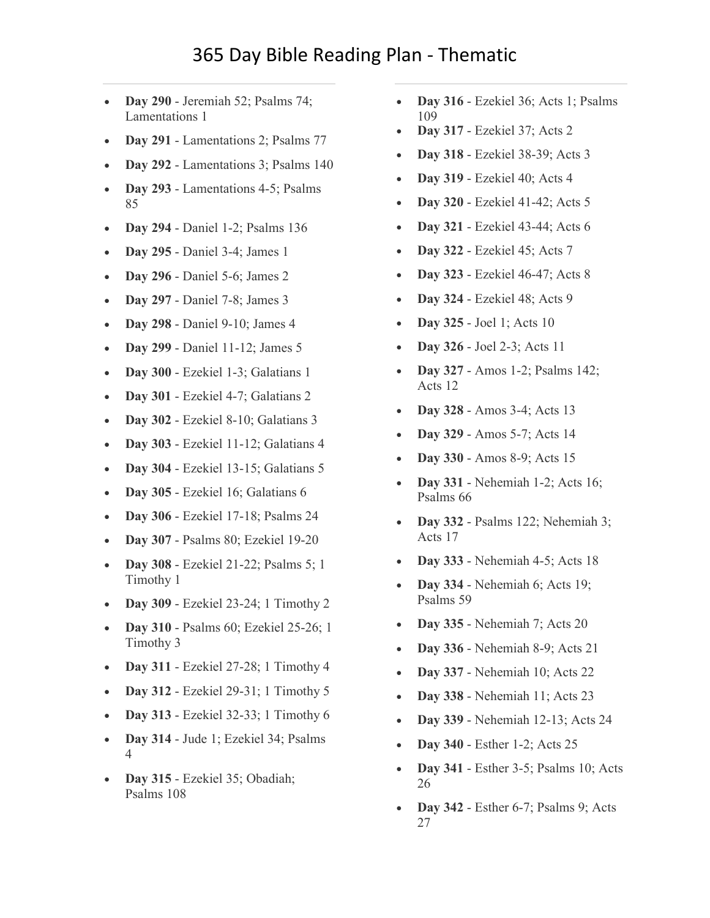- **Day 290** [Jeremiah 52; Psalms 74;](https://www.biblestudytools.com/passage/?q=Jeremiah+52:1-745;+Psalms+74:1-23;+Lamentations+1:1-22)  [Lamentations 1](https://www.biblestudytools.com/passage/?q=Jeremiah+52:1-745;+Psalms+74:1-23;+Lamentations+1:1-22)
- **Day 291** [Lamentations 2; Psalms 77](https://www.biblestudytools.com/passage/?q=Lamentations+2:1-22;+Psalms+77:1-72)
- **Day 292** [Lamentations 3; Psalms 140](https://www.biblestudytools.com/passage/?q=Lamentations+3:1-66;+Psalms+140:1-14)
- **Day 293** [Lamentations 4-5; Psalms](https://www.biblestudytools.com/passage/?q=Lamentations+4:1-22;+Lamentations+5:1-22;+Psalms+85:1-17)  [85](https://www.biblestudytools.com/passage/?q=Lamentations+4:1-22;+Lamentations+5:1-22;+Psalms+85:1-17)
- **Day 294** [Daniel 1-2; Psalms 136](https://www.biblestudytools.com/passage/?q=Daniel+1:1-21;+Daniel+2:1-49;+Psalms+136:1-26)
- **Day 295** [Daniel 3-4; James 1](https://www.biblestudytools.com/passage/?q=Daniel+3:1-34;+Daniel+4:1-37;+James+1:1-27)
- **Day 296** [Daniel 5-6; James 2](https://www.biblestudytools.com/passage/?q=Daniel+5:1-31;+Daniel+6:1-28;+James+2:1-26)
- **Day 297** [Daniel 7-8; James 3](https://www.biblestudytools.com/passage/?q=Daniel+7:1-28;+Daniel+8:1-27;+James+3:1-18)
- **Day 298** [Daniel 9-10; James 4](https://www.biblestudytools.com/passage/?q=Daniel+9:1-27;+Daniel+10:1-21;+James+4:1-17)
- **Day 299** [Daniel 11-12; James 5](https://www.biblestudytools.com/passage/?q=Daniel+11:1-45;+Daniel+12:1-13;+James+5:1-20)
- **Day 300** [Ezekiel 1-3; Galatians 1](https://www.biblestudytools.com/passage/?q=Ezekiel+1:1-28;+Ezekiel+2:1-10;+Ezekiel+3:1-27;+Galatians+1:1-24)
- **Day 301** [Ezekiel 4-7; Galatians 2](https://www.biblestudytools.com/passage/?q=Ezekiel+4:1-17;+Ezekiel+5:1-17;+Ezekiel+6:1-14;+Ezekiel+7:1-27;+Galatians+2:1-21)
- **Day 302** [Ezekiel 8-10; Galatians 3](https://www.biblestudytools.com/passage/?q=Ezekiel+8:1-18;+Ezekiel+9:1-11;+Ezekiel+10:1-22;+Galatians+3:1-29)
- **Day 303** [Ezekiel 11-12; Galatians 4](https://www.biblestudytools.com/passage/?q=Ezekiel+11:1-25;+Ezekiel+12:1-28;+Galatians+4:1-31)
- **Day 304** [Ezekiel 13-15; Galatians 5](https://www.biblestudytools.com/passage/?q=Ezekiel+13:1-23;+Ezekiel+14:1-23;+Ezekiel+15:1-8;+Galatians+5:1-26)
- **Day 305** [Ezekiel 16; Galatians 6](https://www.biblestudytools.com/passage/?q=Ezekiel+16:1-63;+Galatians+6:1-18)
- **Day 306** [Ezekiel 17-18; Psalms 24](https://www.biblestudytools.com/passage/?q=Ezekiel+17:1-24;+Ezekiel+18:1-32;+Psalms+24:1-22)
- **Day 307** [Psalms 80; Ezekiel 19-20](https://www.biblestudytools.com/passage/?q=Psalms+80:1-20;+Ezekiel+19:1-14;+Ezekiel+20:1-49)
- **Day 308** [Ezekiel 21-22; Psalms 5; 1](https://www.biblestudytools.com/passage/?q=Ezekiel+21:1-37;+Ezekiel+22:1-31;+Psalms+5:1-13;+1+Timothy+1:1-20)  [Timothy 1](https://www.biblestudytools.com/passage/?q=Ezekiel+21:1-37;+Ezekiel+22:1-31;+Psalms+5:1-13;+1+Timothy+1:1-20)
- **Day 309** [Ezekiel 23-24; 1 Timothy 2](https://www.biblestudytools.com/passage/?q=Ezekiel+23:1-49;+Ezekiel+24:1-27;+1+Timothy+2:1-15)
- **Day 310** [Psalms 60; Ezekiel 25-26; 1](https://www.biblestudytools.com/passage/?q=Psalms+60:1-14;+Ezekiel+25:1-17;+Ezekiel+26:1-21;+1+Timothy+3:1-16)  [Timothy 3](https://www.biblestudytools.com/passage/?q=Psalms+60:1-14;+Ezekiel+25:1-17;+Ezekiel+26:1-21;+1+Timothy+3:1-16)
- **Day 311** [Ezekiel 27-28; 1 Timothy 4](https://www.biblestudytools.com/passage/?q=Ezekiel+27:1-36;+Ezekiel+28:1-26;+1+Timothy+4:1-16)
- **Day 312** [Ezekiel 29-31; 1 Timothy 5](https://www.biblestudytools.com/passage/?q=Ezekiel+29:1-21;+Ezekiel+30:1-26;+Ezekiel+31:1-18;+1+Timothy+5:1-25)
- **Day 313** [Ezekiel 32-33; 1 Timothy 6](https://www.biblestudytools.com/passage/?q=Ezekiel+32:1-32;+Ezekiel+33:1-46;+1+Timothy+6:1-21)
- **Day 314** [Jude 1; Ezekiel 34; Psalms](https://www.biblestudytools.com/passage/?q=Jude+1:1-25;+Ezekiel+34:1-48;+Psalms+4:1-10)  [4](https://www.biblestudytools.com/passage/?q=Jude+1:1-25;+Ezekiel+34:1-48;+Psalms+4:1-10)
- **Day 315** [Ezekiel 35; Obadiah;](https://www.biblestudytools.com/passage/?q=Ezekiel+35:1-15;+Obadiah+1:1-21;+Psalms+108:1-31)  [Psalms 108](https://www.biblestudytools.com/passage/?q=Ezekiel+35:1-15;+Obadiah+1:1-21;+Psalms+108:1-31)
- **Day 316** [Ezekiel 36; Acts 1; Psalms](https://www.biblestudytools.com/passage/?q=Ezekiel+36:1-38;+Acts+1:1-26;+Psalms+109:1-31)  [109](https://www.biblestudytools.com/passage/?q=Ezekiel+36:1-38;+Acts+1:1-26;+Psalms+109:1-31)
- **Day 317** [Ezekiel 37; Acts 2](https://www.biblestudytools.com/passage/?q=Ezekiel+37:1-28;+Acts+2:1-47)
- **Day 318** [Ezekiel 38-39; Acts 3](https://www.biblestudytools.com/passage/?q=Ezekiel+38:1-23;+Ezekiel+39:1-29;+Acts+3:1-26)
- **Day 319** [Ezekiel 40; Acts 4](https://www.biblestudytools.com/passage/?q=Ezekiel+40:1-49;+Acts+4:1-37)
- **Day 320** [Ezekiel 41-42; Acts 5](https://www.biblestudytools.com/passage/?q=Ezekiel+41:1-26;+Ezekiel+42:1-20;+Acts+5:1-42)
- **Day 321** [Ezekiel 43-44; Acts 6](https://www.biblestudytools.com/passage/?q=Ezekiel+43:1-27;+Ezekiel+44:1-31;+Acts+6:1-15)
- **Day 322** [Ezekiel 45; Acts 7](https://www.biblestudytools.com/passage/?q=Ezekiel+45:1-25;+Acts+7:1-60)
- **Day 323** [Ezekiel 46-47; Acts 8](https://www.biblestudytools.com/passage/?q=Ezekiel+46:1-24;+Ezekiel+47:1-23;+Acts+8:1-40)
- **Day 324** [Ezekiel 48; Acts 9](https://www.biblestudytools.com/passage/?q=Ezekiel+48:1-35;+Acts+9:1-43)
- **Day 325** [Joel 1; Acts 10](https://www.biblestudytools.com/passage/?q=Joel+1:1-20;+Acts+10:1-48)
- **Day 326** [Joel 2-3; Acts 11](https://www.biblestudytools.com/passage/?q=Joel+2:1-32;+Joel+3:1-21;+Acts+11:1-30)
- **Day 327** [Amos 1-2; Psalms 142;](https://www.biblestudytools.com/passage/?q=Amos+1:1-15;+Amos+2:1-16;+Psalms+142:1-12;+Acts+12:1-25)  [Acts 12](https://www.biblestudytools.com/passage/?q=Amos+1:1-15;+Amos+2:1-16;+Psalms+142:1-12;+Acts+12:1-25)
- **Day 328** [Amos 3-4; Acts 13](https://www.biblestudytools.com/passage/?q=Amos+3:1-15;+Amos+4:1-13;+Acts+13:1-52)
- **Day 329** [Amos 5-7; Acts 14](https://www.biblestudytools.com/passage/?q=Amos+5:1-27;+Amos+6:1-15;+Amos+7:1-114;+Acts+14:1-28)
- **Day 330** [Amos 8-9; Acts 15](https://www.biblestudytools.com/passage/?q=Amos+8:1-14;+Amos+9:1-15;+Acts+15:1-41)
- **Day 331** [Nehemiah 1-2; Acts 16;](https://www.biblestudytools.com/passage/?q=Nehemiah+1:1-11;+Nehemiah+2:1-20;+Acts+16:1-40;+Psalms+66:1-20)  [Psalms 66](https://www.biblestudytools.com/passage/?q=Nehemiah+1:1-11;+Nehemiah+2:1-20;+Acts+16:1-40;+Psalms+66:1-20)
- **Day 332** [Psalms 122; Nehemiah 3;](https://www.biblestudytools.com/passage/?q=Psalms+122:1-9;+Nehemiah+3:1-32;+Acts+17:1-34)  [Acts 17](https://www.biblestudytools.com/passage/?q=Psalms+122:1-9;+Nehemiah+3:1-32;+Acts+17:1-34)
- **Day 333** [Nehemiah 4-5; Acts 18](https://www.biblestudytools.com/passage/?q=Nehemiah+4:1-23;+Nehemiah+5:1-19;+Acts+18:1-28)
- **Day 334** [Nehemiah 6; Acts 19;](https://www.biblestudytools.com/passage/?q=Nehemiah+6:1-19;+Acts+19:1-41;+Psalms+59:1-18)  [Psalms 59](https://www.biblestudytools.com/passage/?q=Nehemiah+6:1-19;+Acts+19:1-41;+Psalms+59:1-18)
- **Day 335** [Nehemiah 7; Acts 20](https://www.biblestudytools.com/passage/?q=Nehemiah+7:1-73;+Acts+20:1-38)
- **Day 336** [Nehemiah 8-9; Acts 21](https://www.biblestudytools.com/passage/?q=Nehemiah+8:1-18;+Nehemiah+9:1-38;+Acts+21:1-40)
- **Day 337** [Nehemiah 10; Acts 22](https://www.biblestudytools.com/passage/?q=Nehemiah+10:1-39;+Acts+22:1-30)
- **Day 338** [Nehemiah 11; Acts 23](https://www.biblestudytools.com/passage/?q=Nehemiah+11:1-36;+Acts+23:1-35)
- **Day 339** [Nehemiah 12-13; Acts 24](https://www.biblestudytools.com/passage/?q=Nehemiah+12:1-47;+Nehemiah+13:1-31;+Acts+24:1-27)
- **Day 340** [Esther 1-2; Acts 25](https://www.biblestudytools.com/passage/?q=Esther+1:1-22;+Esther+2:1-23;+Acts+25:1-27)
- **Day 341** [Esther 3-5; Psalms 10; Acts](https://www.biblestudytools.com/passage/?q=Esther+3:1-15;+Esther+4:1-17;+Esther+5:1-14;+Psalms+10:1-18;+Acts+26:1-32)  [26](https://www.biblestudytools.com/passage/?q=Esther+3:1-15;+Esther+4:1-17;+Esther+5:1-14;+Psalms+10:1-18;+Acts+26:1-32)
- **Day 342** [Esther 6-7; Psalms 9; Acts](https://www.biblestudytools.com/passage/?q=Esther+6:1-14;+Esther+7:1-10;+Psalms+9:1-39;+Acts+27:1-44)  [27](https://www.biblestudytools.com/passage/?q=Esther+6:1-14;+Esther+7:1-10;+Psalms+9:1-39;+Acts+27:1-44)